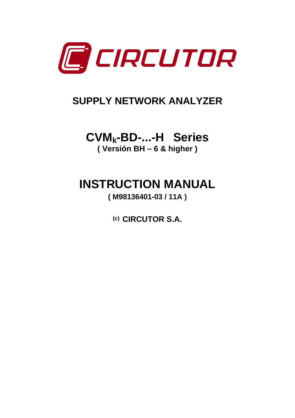

## **SUPPLY NETWORK ANALYZER**

# **CVMk-BD-...-H Series**

**( Versión BH – 6 & higher )** 

**INSTRUCTION MANUAL** 

**( M98136401-03 / 11A )** 

**(c) CIRCUTOR S.A.**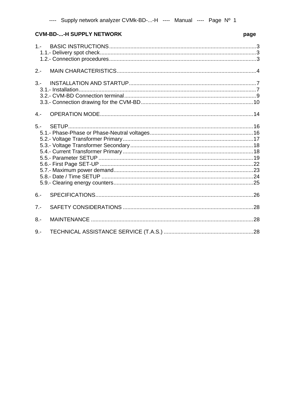### **CVM-BD-...-H SUPPLY NETWORK**

### page

| $2 -$ |  |
|-------|--|
| $3 -$ |  |
| $4 -$ |  |
|       |  |
| $6 -$ |  |
| $7 -$ |  |
| $8 -$ |  |
| $9 -$ |  |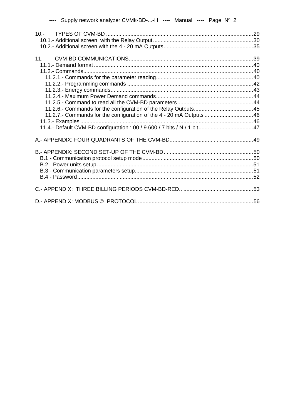| 11.2.7.- Commands for the configuration of the 4 - 20 mA Outputs 46 |  |
|---------------------------------------------------------------------|--|
|                                                                     |  |
|                                                                     |  |
|                                                                     |  |
|                                                                     |  |
|                                                                     |  |
|                                                                     |  |
|                                                                     |  |
|                                                                     |  |
|                                                                     |  |
|                                                                     |  |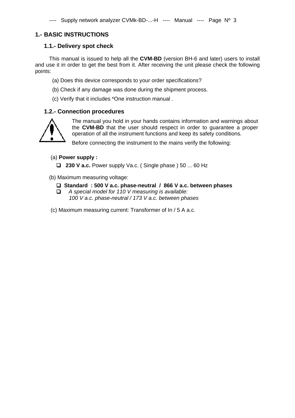### **1.- BASIC INSTRUCTIONS**

### **1.1.- Delivery spot check**

This manual is issued to help all the **CVM-BD** (version BH-6 and later) users to install and use it in order to get the best from it. After receiving the unit please check the following points:

- (a) Does this device corresponds to your order specifications?
- (b) Check if any damage was done during the shipment process.
- (c) Verify that it includes \*One instruction manual .

### **1.2.- Connection procedures**



The manual you hold in your hands contains information and warnings about the **CVM-BD** that the user should respect in order to guarantee a proper operation of all the instrument functions and keep its safety conditions.

Before connecting the instrument to the mains verify the following:

### (a) **Power supply :**

 **230 V a.c.** Power supply Va.c. ( Single phase ) 50 ... 60 Hz

(b) Maximum measuring voltage:

- **Standard : 500 V a.c. phase-neutral / 866 V a.c. between phases**
- *A special model for 110 V measuring is available: 100 V a.c. phase-neutral / 173 V a.c. between phases*
- (c) Maximum measuring current: Transformer of In / 5 A a.c.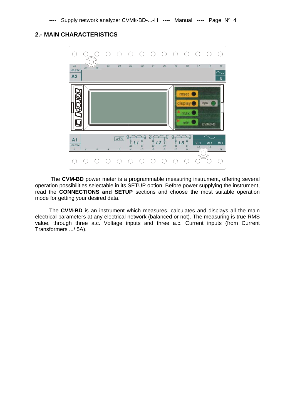### **2.- MAIN CHARACTERISTICS**



 The **CVM-BD** power meter is a programmable measuring instrument, offering several operation possibilities selectable in its SETUP option. Before power supplying the instrument, read the **CONNECTIONS and SETUP** sections and choose the most suitable operation mode for getting your desired data.

The **CVM-BD** is an instrument which measures, calculates and displays all the main electrical parameters at any electrical network (balanced or not). The measuring is true RMS value, through three a.c. Voltage inputs and three a.c. Current inputs (from Current Transformers .../ 5A).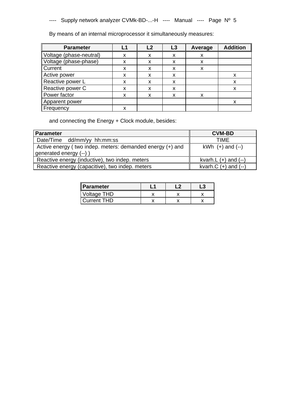By means of an internal microprocessor it simultaneously measures:

| <b>Parameter</b>        |   | l 2 | L3 | Average | <b>Addition</b> |
|-------------------------|---|-----|----|---------|-----------------|
| Voltage (phase-neutral) | x | X   | x  | x       |                 |
| Voltage (phase-phase)   | x | x   | x  | x       |                 |
| Current                 | X | X   | x  | x       |                 |
| Active power            | X | X   | x  |         | x               |
| Reactive power L        | x | X   | x  |         | х               |
| Reactive power C        | X | X   | X  |         | x               |
| Power factor            | X | x   | x  |         |                 |
| Apparent power          |   |     |    |         |                 |
| Frequency               | x |     |    |         |                 |

and connecting the Energy + Clock module, besides:

| <b>Parameter</b>                                          | <b>CVM-BD</b>           |
|-----------------------------------------------------------|-------------------------|
| Date/Time dd/mm/yy hh:mm:ss                               | TIME                    |
| Active energy (two indep. meters: demanded energy (+) and | $kWh (+)$ and $(-)$     |
| generated energy (--))                                    |                         |
| Reactive energy (inductive), two indep. meters            | kvarh.L $(+)$ and $(-)$ |
| Reactive energy (capacitive), two indep. meters           | kvarh. $C$ (+) and (--) |

| Parameter          |  |  |
|--------------------|--|--|
| Voltage THD        |  |  |
| <b>Current THD</b> |  |  |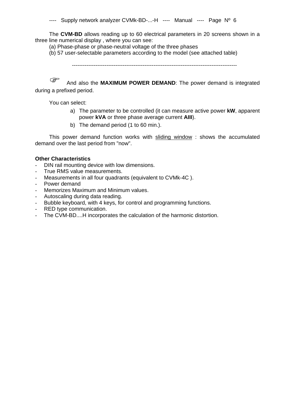The **CVM-BD** allows reading up to 60 electrical parameters in 20 screens shown in a three line numerical display , where you can see:

(a) Phase-phase or phase-neutral voltage of the three phases

(b) 57 user-selectable parameters according to the model (see attached table)

-------------------------------------------------------------------------------------------

And also the **MAXIMUM POWER DEMAND**: The power demand is integrated during a prefixed period.

You can select:

- a) The parameter to be controlled (it can measure active power **kW**, apparent power **kVA** or three phase average current **AIII**).
- b) The demand period (1 to 60 min.).

This power demand function works with sliding window : shows the accumulated demand over the last period from "now".

### **Other Characteristics**

- DIN rail mounting device with low dimensions.
- True RMS value measurements.
- Measurements in all four quadrants (equivalent to CVMk-4C).
- Power demand
- Memorizes Maximum and Minimum values.
- Autoscaling during data reading.
- Bubble keyboard, with 4 keys, for control and programming functions.
- RED type communication.
- The CVM-BD....H incorporates the calculation of the harmonic distortion.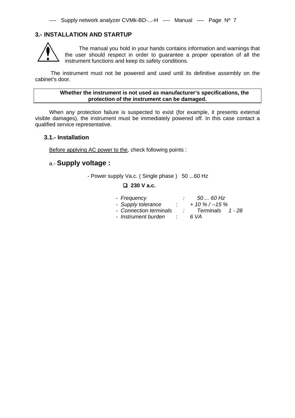### **3.- INSTALLATION AND STARTUP**



The manual you hold in your hands contains information and warnings that the user should respect in order to guarantee a proper operation of all the instrument functions and keep its safety conditions.

 The instrument must not be powered and used until its definitive assembly on the cabinet's door.

### **Whether the instrument is not used as manufacturer's specifications, the protection of the instrument can be damaged.**

When any protection failure is suspected to exist (for example, it presents external visible damages), the instrument must be immediately powered off. In this case contact a qualified service representative.

### **3.1.- Installation**

Before applying AC power to the, check following points :

### a.- **Supply voltage :**

- Power supply Va.c. (Single phase) 50 ...60 Hz

### **230 V a.c.**

|  | 50  60 Hz        |
|--|------------------|
|  | $+10\%$ / --15 % |
|  | Terminals 1 - 28 |
|  | 6 VA             |
|  |                  |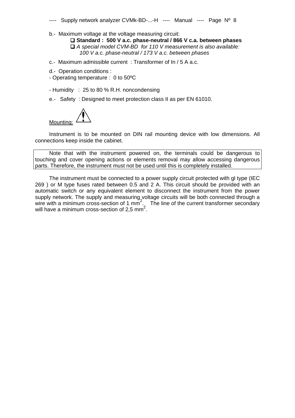b.- Maximum voltage at the voltage measuring circuit:

 **Standard : 500 V a.c. phase-neutral / 866 V c.a. between phases**   *A special model CVM-BD for 110 V measurement is also available: 100 V a.c. phase-neutral / 173 V a.c. between phases* 

c.- Maximum admissible current : Transformer of In / 5 A a.c.

d.- Operation conditions :

- Operating temperature : 0 to 50ºC

- Humidity : 25 to 80 % R.H. noncondensing
- e.- Safety : Designed to meet protection class II as per EN 61010.

Mounting:

Instrument is to be mounted on DIN rail mounting device with low dimensions. All connections keep inside the cabinet.

Note that with the instrument powered on, the terminals could be dangerous to touching and cover opening actions or elements removal may allow accessing dangerous parts. Therefore, the instrument must not be used until this is completely installed.

The instrument must be connected to a power supply circuit protected with gl type (IEC 269 ) or M type fuses rated between 0.5 and 2 A. This circuit should be provided with an automatic switch or any equivalent element to disconnect the instrument from the power supply network. The supply and measuring voltage circuits will be both connected through a wire with a minimum cross-section of 1 mm<sup>2</sup>. The line of the current transformer secondary will have a minimum cross-section of 2.5  $\text{mm}^2$ . .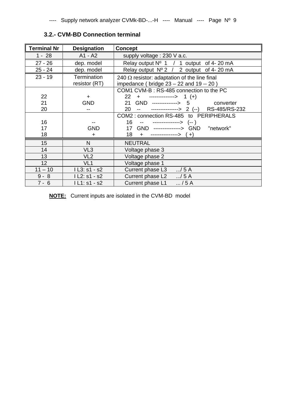| <b>Terminal Nr</b> | <b>Designation</b>           | <b>Concept</b>                                                                                 |  |  |
|--------------------|------------------------------|------------------------------------------------------------------------------------------------|--|--|
| $1 - 28$           | A1 - A2                      | supply voltage : 230 V a.c.                                                                    |  |  |
| $27 - 26$          | dep. model                   | Relay output $N^{\circ}$ 1 / 1 output of 4-20 mA                                               |  |  |
| $25 - 24$          | dep. model                   | Relay output $N^{\circ}$ 2 / 2 output of 4-20 mA                                               |  |  |
| $23 - 19$          | Termination<br>resistor (RT) | 240 $\Omega$ resistor: adaptation of the line final<br>impedance (bridge 23 - 22 and 19 -- 20) |  |  |
|                    |                              | COM1 CVM-B: RS-485 connection to the PC                                                        |  |  |
| 22                 | $+$                          | $22 +$ -------------> 1 (+)                                                                    |  |  |
| 21                 | GND                          | GND --------------> 5 converter<br>21                                                          |  |  |
| 20                 |                              | -- ---------------> 2 (--) RS-485/RS-232<br>20                                                 |  |  |
|                    |                              | COM2: connection RS-485 to PERIPHERALS                                                         |  |  |
| 16                 |                              | 16<br>-- ---------------> (-- )                                                                |  |  |
| 17                 | <b>GND</b>                   | 17 GND ---------------> GND "network"                                                          |  |  |
| 18                 | $\ddot{}$                    | $+$ ---------------> $(+)$<br>18                                                               |  |  |
| 15                 | N                            | <b>NEUTRAL</b>                                                                                 |  |  |
| 14                 | VL <sub>3</sub>              | Voltage phase 3                                                                                |  |  |
| 13                 | VL <sub>2</sub>              | Voltage phase 2                                                                                |  |  |
| 12                 | VL <sub>1</sub>              | Voltage phase 1                                                                                |  |  |
| $11 - 10$          | $1L3: s1 - s2$               | Current phase L3<br>$\ldots/5A$                                                                |  |  |
| $9 - 8$            | $IL2: s1 - s2$               | Current phase L2<br>$\ldots/5$ A                                                               |  |  |
| $7 - 6$            | $IL1: s1 - s2$               | / 5A<br>Current phase L1                                                                       |  |  |

### **3.2.- CVM-BD Connection terminal**

**NOTE:** Current inputs are isolated in the CVM-BD model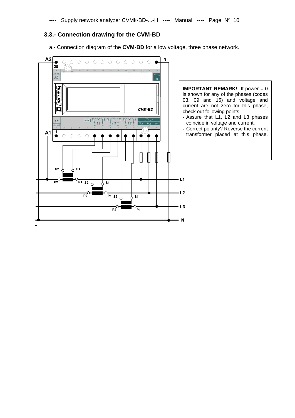### **3.3.- Connection drawing for the CVM-BD**

a.- Connection diagram of the **CVM-BD** for a low voltage, three phase network.

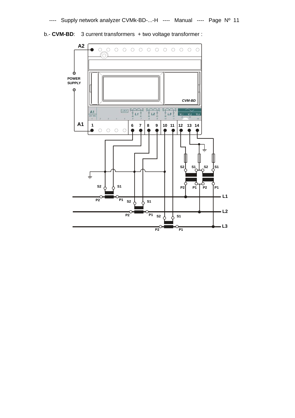

b.- **CVM-BD**: 3 current transformers + two voltage transformer :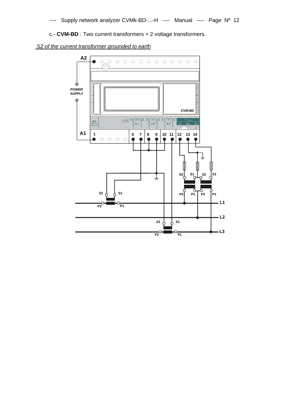c.- **CVM-BD** : Two current transformers + 2 voltage transformers.



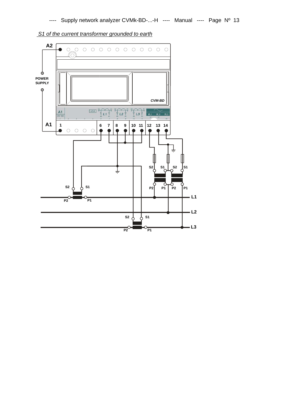

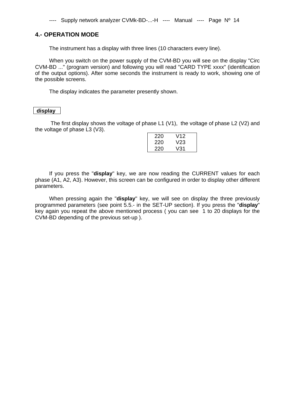### **4.- OPERATION MODE**

The instrument has a display with three lines (10 characters every line).

When you switch on the power supply of the CVM-BD you will see on the display "Circ CVM-BD ..." (program version) and following you will read "CARD TYPE xxxx" (identification of the output options). After some seconds the instrument is ready to work, showing one of the possible screens.

The display indicates the parameter presently shown.

### **display**

 The first display shows the voltage of phase L1 (V1), the voltage of phase L2 (V2) and the voltage of phase L3 (V3).

| 220 | V12 |
|-----|-----|
| 220 | V23 |
| 220 | V31 |

If you press the "**display**" key, we are now reading the CURRENT values for each phase (A1, A2, A3). However, this screen can be configured in order to display other different parameters.

When pressing again the "**display**" key, we will see on display the three previously programmed parameters (see point 5.5.- in the SET-UP section). If you press the "**display**" key again you repeat the above mentioned process ( you can see 1 to 20 displays for the CVM-BD depending of the previous set-up ).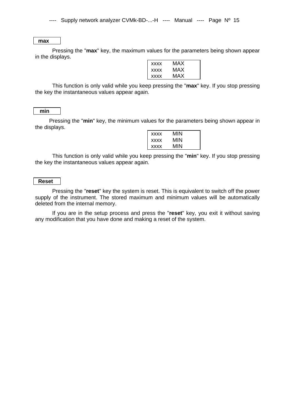### **max**

 Pressing the "**max**" key, the maximum values for the parameters being shown appear in the displays.

| <b>XXXX</b> | MAX |
|-------------|-----|
| <b>XXXX</b> | MAX |
| <b>XXXX</b> | MAX |

 This function is only valid while you keep pressing the "**max**" key. If you stop pressing the key the instantaneous values appear again.

### **min**

Pressing the "**min**" key, the minimum values for the parameters being shown appear in the displays.

| <b>XXXX</b> | MIN |
|-------------|-----|
| <b>XXXX</b> | MIN |
| <b>XXXX</b> | MIN |

 This function is only valid while you keep pressing the "**min**" key. If you stop pressing the key the instantaneous values appear again.

### **Reset**

 Pressing the "**reset**" key the system is reset. This is equivalent to switch off the power supply of the instrument. The stored maximum and minimum values will be automatically deleted from the internal memory.

 If you are in the setup process and press the "**reset**" key, you exit it without saving any modification that you have done and making a reset of the system.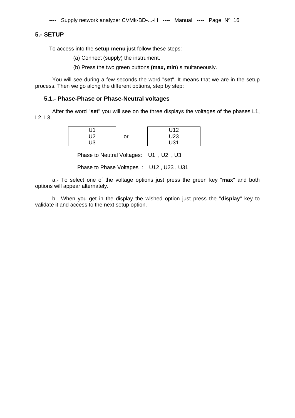### **5.- SETUP**

To access into the **setup menu** just follow these steps:

(a) Connect (supply) the instrument.

(b) Press the two green buttons **(max, min**) simultaneously.

 You will see during a few seconds the word "**set**". It means that we are in the setup process. Then we go along the different options, step by step:

### **5.1.- Phase-Phase or Phase-Neutral voltages**

 After the word "**set**" you will see on the three displays the voltages of the phases L1, L2, L3.

|            |    | U12  |
|------------|----|------|
| l 19<br>৴∠ | or | U23  |
| । । २      |    | 1.34 |

Phase to Neutral Voltages: U1 , U2 , U3

Phase to Phase Voltages : U12 , U23 , U31

 a.- To select one of the voltage options just press the green key "**max**" and both options will appear alternately.

 b.- When you get in the display the wished option just press the "**display**" key to validate it and access to the next setup option.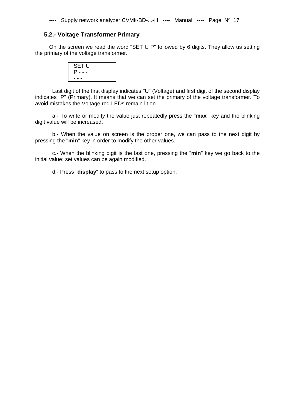### **5.2.- Voltage Transformer Primary**

On the screen we read the word "SET U P" followed by 6 digits. They allow us setting the primary of the voltage transformer.

| <b>SET U</b> |  |
|--------------|--|
| P - - -      |  |
| - - -        |  |

 Last digit of the first display indicates "U" (Voltage) and first digit of the second display indicates "P" (Primary). It means that we can set the primary of the voltage transformer. To avoid mistakes the Voltage red LEDs remain lit on.

 a.- To write or modify the value just repeatedly press the "**max**" key and the blinking digit value will be increased.

 b.- When the value on screen is the proper one, we can pass to the next digit by pressing the "**min**" key in order to modify the other values.

 c.- When the blinking digit is the last one, pressing the "**min**" key we go back to the initial value: set values can be again modified.

d.- Press "**display**" to pass to the next setup option.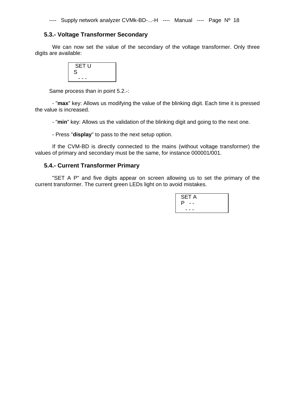### **5.3.- Voltage Transformer Secondary**

We can now set the value of the secondary of the voltage transformer. Only three digits are available:

| S | <b>SET U</b> |  |
|---|--------------|--|
|   | --           |  |

Same process than in point 5.2.-:

 - "**max**" key: Allows us modifying the value of the blinking digit. Each time it is pressed the value is increased.

- "**min**" key: Allows us the validation of the blinking digit and going to the next one.

- Press "**display**" to pass to the next setup option.

 If the CVM-BD is directly connected to the mains (without voltage transformer) the values of primary and secondary must be the same, for instance 000001/001.

### **5.4.- Current Transformer Primary**

 "SET A P" and five digits appear on screen allowing us to set the primary of the current transformer. The current green LEDs light on to avoid mistakes.

| <b>SET A</b> |  |
|--------------|--|
| P            |  |
|              |  |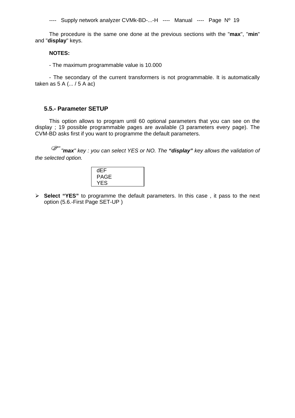The procedure is the same one done at the previous sections with the "**max**", "**min**" and "**display**" keys.

### **NOTES:**

- The maximum programmable value is 10.000

- The secondary of the current transformers is not programmable. It is automatically taken as 5 A (... / 5 A ac)

### **5.5.- Parameter SETUP**

This option allows to program until 60 optional parameters that you can see on the display ; 19 possible programmable pages are available (3 parameters every page). The CVM-BD asks first if you want to programme the default parameters.

 *"max" key : you can select YES or NO. The "display" key allows the validation of the selected option.* 

| dEF         |  |
|-------------|--|
| <b>PAGE</b> |  |
| YES         |  |
|             |  |

 **Select "YES"** to programme the default parameters. In this case , it pass to the next option (5.6.-First Page SET-UP )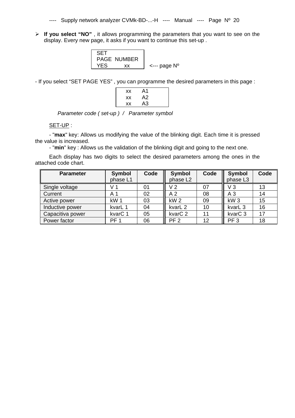**If you select "NO"** , it allows programming the parameters that you want to see on the display. Every new page, it asks if you want to continue this set-up .

| <b>SET</b> |                    |                                  |
|------------|--------------------|----------------------------------|
|            | <b>PAGE NUMBER</b> |                                  |
|            |                    |                                  |
| YFS        | xх.                | $\leftarrow$ -- page $N^{\circ}$ |
|            |                    |                                  |

- If you select "SET PAGE YES" , you can programme the desired parameters in this page :

| ХX | A1 |  |
|----|----|--|
| ХX | A2 |  |
| ХX | A3 |  |

 *Parameter code ( set-up ) / Parameter symbol* 

### SET-UP :

- "max" key: Allows us modifying the value of the blinking digit. Each time it is pressed the value is increased.

- "**min**" key : Allows us the validation of the blinking digit and going to the next one.

Each display has two digits to select the desired parameters among the ones in the attached code chart.

| <b>Parameter</b> | <b>Symbol</b><br>phase L1 | Code | <b>Symbol</b><br>phase L2 | Code | <b>Symbol</b><br>phase L3 | Code |
|------------------|---------------------------|------|---------------------------|------|---------------------------|------|
| Single voltage   |                           | 01   | V <sub>2</sub>            | 07   | V <sub>3</sub>            | 13   |
| Current          | A                         | 02   | A <sub>2</sub>            | 08   | A <sub>3</sub>            | 14   |
| Active power     | kW <sub>1</sub>           | 03   | kW <sub>2</sub>           | 09   | kW <sub>3</sub>           | 15   |
| Inductive power  | kvarL 1                   | 04   | kvarL <sub>2</sub>        | 10   | kvarL <sub>3</sub>        | 16   |
| Capacitiva power | kvar <sub>C</sub> 1       | 05   | kvar <sub>C</sub> 2       | 11   | kvar <sub>C</sub> 3       | 17   |
| Power factor     | PF <sub>1</sub>           | 06   | PF <sub>2</sub>           | 12   | PF <sub>3</sub>           | 18   |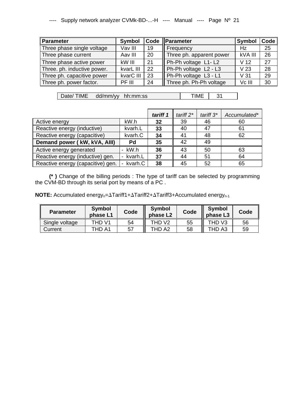| <b>Parameter</b>            | <b>Symbol</b> |    | Code Parameter           | <b>Symbol</b>   | Code |
|-----------------------------|---------------|----|--------------------------|-----------------|------|
| Three phase single voltage  | Vav III       | 19 | Frequency                | Hz              | 25   |
| Three phase current         | Aav III       | 20 | Three ph. apparent power | kVA III         | 26   |
| Three phase active power    | kW III        | 21 | Ph-Ph voltage L1-L2      | V <sub>12</sub> | 27   |
| Three. ph. inductive power. | kvarL III     | 22 | Ph-Ph voltage L2 - L3    | V <sub>23</sub> | 28   |
| Three ph. capacitive power  | kvarC III     | 23 | Ph-Ph voltage L3 - L1    | V <sub>31</sub> | 29   |
| Three ph. power factor.     | PF III        | 24 | Three ph. Ph-Ph voltage  | Vc III          | 30   |

Date/ TIME dd/mm/yy hh:mm:ss | TIME 31

|                                   |                           | tariff 1 | tariff $2^*$ | tariff $3^*$ | Accumulated* |
|-----------------------------------|---------------------------|----------|--------------|--------------|--------------|
| Active energy                     | kW.h                      | 32       | 39           | 46           | 60           |
| Reactive energy (inductive)       | kvarh.L                   | 33       | 40           | 47           | 61           |
| Reactive energy (capacitive)      | kvarh.C                   | 34       | 41           | 48           | 62           |
| Demand power ( kW, kVA, AIII)     | Pd                        | 35       | 42           | 49           |              |
| Active energy generated           | kW.h                      | 36       | 43           | 50           | 63           |
| Reactive energy (inductive) gen.  | kvarh.L                   | 37       | 44           | 51           | 64           |
| Reactive energy (capacitive) gen. | kvarh.C<br>$\blacksquare$ | 38       | 45           | 52           | 65           |

**(\* )** Change of the billing periods : The type of tariff can be selected by programming the CVM-BD through its serial port by means of a PC .

**NOTE:** Accumulated energy<sub>n</sub>=∆Tariff1+∆Tariff2+∆Tariff3+Accumulated energy<sub>n-1</sub>

| <b>Parameter</b> | <b>Symbol</b><br>phase L1 | Code | <b>Symbol</b><br>phase L <sub>2</sub> | Code | <b>Symbol</b><br>phase L3 | Code |
|------------------|---------------------------|------|---------------------------------------|------|---------------------------|------|
| Single voltage   | THD V1                    | 54   | THD V <sub>2</sub>                    | 55   | THD V3                    | 56   |
| Current          | THD A1                    | 57   | THD A2                                | 58   | THD A3                    | 59   |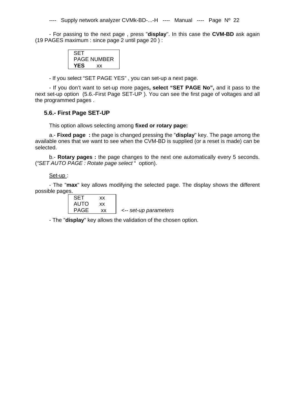- For passing to the next page , press "**display**". In this case the **CVM-BD** ask again (19 PAGES maximum : since page 2 until page 20 ) :

| SET. |             |
|------|-------------|
|      | PAGE NUMBER |
| YES  | <b>XX</b>   |

- If you select "SET PAGE YES" , you can set-up a next page.

- If you don't want to set-up more pages**, select "SET PAGE No",** and it pass to the next set-up option (5.6.-First Page SET-UP ). You can see the first page of voltages and all the programmed pages .

### **5.6.- First Page SET-UP**

This option allows selecting among **fixed or rotary page:** 

a.- **Fixed page :** the page is changed pressing the "**display**" key. The page among the available ones that we want to see when the CVM-BD is supplied (or a reset is made) can be selected.

b.- **Rotary pages :** the page changes to the next one automatically every 5 seconds. (*"SET AUTO PAGE : Rotate page select* " option).

### Set-up :

- The "**max**" key allows modifying the selected page. The display shows the different possible pages.

| SET  | xх |                       |
|------|----|-----------------------|
| AUTO | xх |                       |
| PAGE | xх | <-- set-up parameters |

- The "**display**" key allows the validation of the chosen option.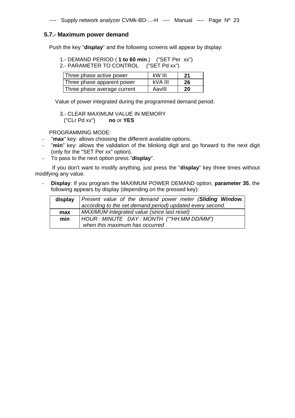### **5.7.- Maximum power demand**

Push the key "**display**" and the following screens will appear by display:

 1.- DEMAND PERIOD ( **1 to 60 min**.) ("SET Per xx") 2.- PARAMETER TO CONTROL ("SET Pd xx")

| Three phase active power    | kW III  | 21 |
|-----------------------------|---------|----|
| Three phase apparent power  | kVA III | 26 |
| Three phase average current | AavIII  | 20 |

Value of power integrated during the programmed demand period.

 3.- CLEAR MAXIMUM VALUE IN MEMORY ("CLr Pd xx") **no** or **YES**

PROGRAMMING MODE:

- "**max**" key: allows choosing the different available options.
- "**min**" key: allows the validation of the blinking digit and go forward to the next digit (only for the "SET Per xx" option).
- To pass to the next option press "**display**".

 If you don't want to modify anything, just press the "**display**" key three times without modifying any value.

**Display:** If you program the MAXIMUM POWER DEMAND option, **parameter 35**, the following appears by display (depending on the pressed key):

|     | display Present value of the demand power meter (Sliding Window,<br>according to the set demand period) updated every second. |  |  |
|-----|-------------------------------------------------------------------------------------------------------------------------------|--|--|
| max | MAXIMUM integrated value (since last reset)                                                                                   |  |  |
| min | HOUR : MINUTE DAY : MONTH (""HH.MM DD/MM")                                                                                    |  |  |
|     | when this maximum has occurred                                                                                                |  |  |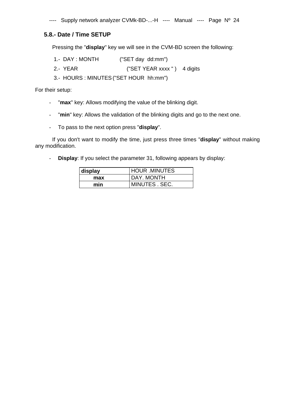### **5.8.- Date / Time SETUP**

Pressing the "**display**" key we will see in the CVM-BD screen the following:

- 1.- DAY : MONTH ("SET day dd:mm")
- 2.- YEAR ("SET YEAR xxxx") 4 digits
- 3.- HOURS : MINUTES ("SET HOUR hh:mm")

For their setup:

- "**max**" key: Allows modifying the value of the blinking digit.
- "**min**" key: Allows the validation of the blinking digits and go to the next one.
- To pass to the next option press "**display**".

 If you don't want to modify the time, just press three times "**display**" without making any modification.

- **Display**: If you select the parameter 31, following appears by display:

| display | <b>HOUR MINUTES</b> |
|---------|---------------------|
| max     | DAY. MONTH          |
| min     | MINUTES . SEC.      |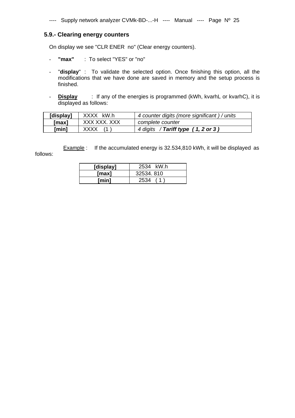### **5.9.- Clearing energy counters**

On display we see "CLR ENER no" (Clear energy counters).

- **"max"** : To select "YES" or "no"
- "**display**" : To validate the selected option. Once finishing this option, all the modifications that we have done are saved in memory and the setup process is finished.
- **Display** : If any of the energies is programmed (kWh, kvarhL or kvarhC), it is displayed as follows:

| [display] | XXXX kW.h    | 4 counter digits (more significant) / units |
|-----------|--------------|---------------------------------------------|
| [max]     | XXX XXX. XXX | complete counter                            |
| [min]     | XXXX         | 4 digits / Tariff type (1, 2 or 3)          |

Example : If the accumulated energy is 32.534,810 kWh, it will be displayed as follows:

| [display] | 2534 kW.h  |
|-----------|------------|
| [max]     | 32534, 810 |
| [min]     | 2534       |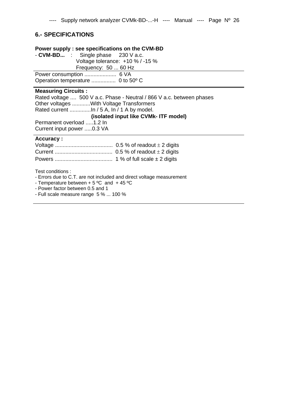### **6.- SPECIFICATIONS**

### **Power supply : see specifications on the CVM-BD**

|                                  | - $CVM-BD$ : Single phase 230 V a.c. |  |  |
|----------------------------------|--------------------------------------|--|--|
| Voltage tolerance: +10 % / -15 % |                                      |  |  |
| Frequency: 50  60 Hz             |                                      |  |  |
|                                  |                                      |  |  |
|                                  |                                      |  |  |

### **Measuring Circuits :**

Rated voltage .... 500 V a.c. Phase - Neutral / 866 V a.c. between phases Other voltages ............With Voltage Transformers Rated current ..............In / 5 A, In / 1 A by model. **(isolated input like CVMk- ITF model)**

Permanent overload .....1.2 In Current input power .....0.3 VA

### **Accuracy :**

Test conditions :

- Errors due to C.T. are not included and direct voltage measurement

- Temperature between  $+ 5$  °C and  $+ 45$  °C

- Power factor between 0.5 and 1

- Full scale measure range 5 % ... 100 %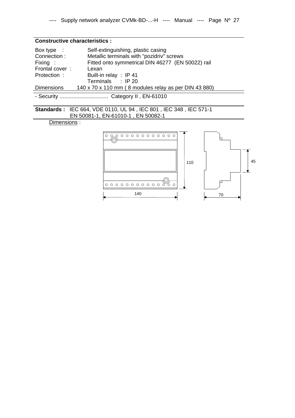### **Constructive characteristics :**

| Box type $\therefore$ | Self-extinguishing, plastic casing                    |
|-----------------------|-------------------------------------------------------|
| Connection:           | Metallic terminals with "pozidriv" screws             |
| Fixing :              | Fitted onto symmetrical DIN 46277 (EN 50022) rail     |
| Frontal cover:        | Lexan                                                 |
| Protection:           | Built-in relay : IP 41                                |
|                       | Terminals : IP 20                                     |
| <b>Dimensions</b>     | 140 x 70 x 110 mm (8 modules relay as per DIN 43 880) |
|                       |                                                       |

- Security ................................ Category II , EN-61010

**Standards :** IEC 664, VDE 0110, UL 94 , IEC 801 , IEC 348 , IEC 571-1 EN 50081-1, EN-61010-1 , EN 50082-1

### Dimensions :

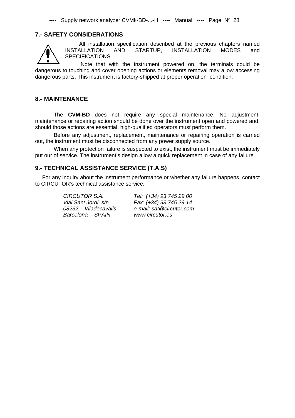### **7.- SAFETY CONSIDERATIONS**



All installation specification described at the previous chapters named INSTALLATION AND STARTUP, INSTALLATION MODES and SPECIFICATIONS.

 Note that with the instrument powered on, the terminals could be dangerous to touching and cover opening actions or elements removal may allow accessing dangerous parts. This instrument is factory-shipped at proper operation condition.

### **8.- MAINTENANCE**

 The **CVM-BD** does not require any special maintenance. No adjustment, maintenance or repairing action should be done over the instrument open and powered and, should those actions are essential, high-qualified operators must perform them.

 Before any adjustment, replacement, maintenance or repairing operation is carried out, the instrument must be disconnected from any power supply source.

 When any protection failure is suspected to exist, the instrument must be immediately put our of service. The instrument's design allow a quick replacement in case of any failure.

### **9.- TECHNICAL ASSISTANCE SERVICE (T.A.S)**

For any inquiry about the instrument performance or whether any failure happens, contact to CIRCUTOR's technical assistance service.

*Barcelona - SPAIN www.circutor.es* 

*CIRCUTOR S.A. Tel: (+34) 93 745 29 00 Vial Sant Jordi, s/n Fax: (+34) 93 745 29 14 08232 – Viladecavalls e-mail: sat@circutor.com*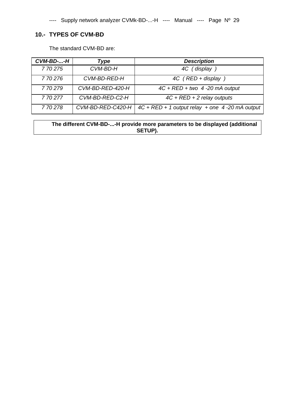### **10.- TYPES OF CVM-BD**

The standard CVM-BD are:

| CVM-BD--H | Type              | <b>Description</b>                                 |
|-----------|-------------------|----------------------------------------------------|
| 770275    | CVM-BD-H          | 4C (display                                        |
| 770276    | CVM-BD-RED-H      | 4C (RED + display                                  |
| 770279    | CVM-BD-RED-420-H  | $4C + RED + two$ 4 -20 mA output                   |
| 770277    | CVM-BD-RED-C2-H   | $4C + RED + 2$ relay outputs                       |
| 770278    | CVM-BD-RED-C420-H | $4C + RED + 1$ output relay $+$ one 4-20 mA output |

**The different CVM-BD-...-H provide more parameters to be displayed (additional SETUP).**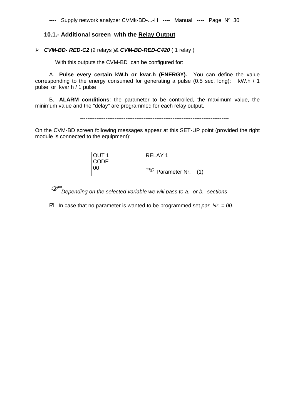### **10.1.- Additional screen with the Relay Output**

### *CVM-BD- RED-C2* (2 relays )& *CVM-BD-RED-C420* ( 1 relay )

With this outputs the CVM-BD can be configured for:

A.- **Pulse every certain kW.h or kvar.h (ENERGY).** You can define the value corresponding to the energy consumed for generating a pulse (0.5 sec. long): kW.h / 1 pulse or kvar.h / 1 pulse

B.- **ALARM conditions**: the parameter to be controlled, the maximum value, the minimum value and the "delay" are programmed for each relay output.



On the CVM-BD screen following messages appear at this SET-UP point (provided the right module is connected to the equipment):



*Depending on the selected variable we will pass to a.- or b.- sections* 

 $\boxtimes$  In case that no parameter is wanted to be programmed set *par. Nr.* = 00.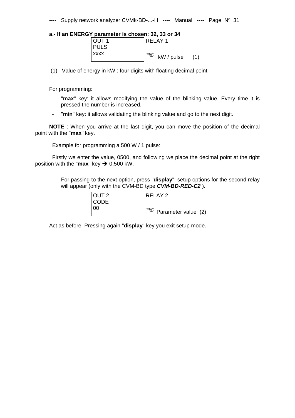### **a.- If an ENERGY parameter is chosen: 32, 33 or 34**

| OUT <sub>1</sub> | l RELAY 1                  |
|------------------|----------------------------|
| <b>PULS</b>      |                            |
| <b>XXXX</b>      | ార్తు<br>kW / pulse<br>(1) |

(1) Value of energy in kW : four digits with floating decimal point

### For programming:

- "**max**" key: it allows modifying the value of the blinking value. Every time it is pressed the number is increased.
- "**min**" key: it allows validating the blinking value and go to the next digit.

**NOTE** : When you arrive at the last digit, you can move the position of the decimal point with the "**max**" key.

Example for programming a 500 W / 1 pulse:

 Firstly we enter the value, 0500, and following we place the decimal point at the right position with the " $max$ " key  $\rightarrow$  0.500 kW.

- For passing to the next option, press "**display**": setup options for the second relay will appear (only with the CVM-BD type *CVM-BD-RED-C2* ).

| <b>OUT 2</b> | I RELAY 2                        |
|--------------|----------------------------------|
| <b>CODE</b>  |                                  |
| -00          | $\sqrt{a^2}$ Parameter value (2) |

Act as before. Pressing again "**display**" key you exit setup mode.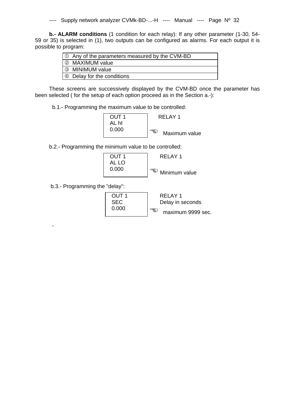**b.- ALARM conditions** (1 condition for each relay): If any other parameter (1-30, 54- 59 or 35) is selected in (1), two outputs can be configured as alarms. For each output it is possible to program:

| $\vert \circlearrowright$ Any of the parameters measured by the CVM-BD |
|------------------------------------------------------------------------|
| 2 MAXIMUM value                                                        |
| 3 MINIMUM value                                                        |
| 9 Delay for the conditions                                             |

These screens are successively displayed by the CVM-BD once the parameter has been selected ( for the setup of each option proceed as in the Section a.-):

b.1.- Programming the maximum value to be controlled:

| OUT 1 | RFI AY 1             |
|-------|----------------------|
| hl    |                      |
| 0.000 | Fg.<br>Maximum value |

b.2.- Programming the minimum value to be controlled:

| ∩I IT 1 | RFI AY 1             |
|---------|----------------------|
| AL LO   |                      |
| 0.000   | ె§్<br>Minimum value |

b.3.- Programming the "delay":

-

 OUT 1 RELAY 1 SEC Delay in seconds 0.000 maximum 9999 sec.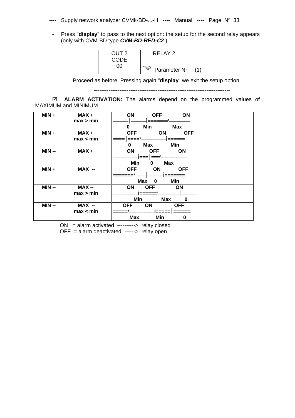- ---- Supply network analyzer CVMk-BD-...-H ---- Manual ---- Page Nº 33
- Press "**display**" to pass to the next option: the setup for the second relay appears (only with CVM-BD type *CVM-BD-RED-C2* ).



Proceed as before. Pressing again "**display**" we exit the setup option.

 **---------------------------------------------------------------------------** 

  **ALARM ACTIVATION:** The alarms depend on the programmed values of MAXIMUM and MINIMUM.

| $MIN +$ | MAX+      | ON<br>ON<br><b>OFF</b>                |
|---------|-----------|---------------------------------------|
|         | max > min | _______1                              |
|         |           | <b>Max</b><br>Min<br>0                |
| $MIN +$ | MAX+      | <b>OFF</b><br><b>ON</b><br><b>OFF</b> |
|         | max < min |                                       |
|         |           | Min<br><b>Max</b><br>0                |
| $MIN -$ | MAX+      | ON<br><b>OFF</b><br>ON                |
|         |           | {===   === <sup>1</sup>               |
|         |           | Min<br><b>Max</b><br>0                |
| $MIN +$ | MAX --    | <b>OFF</b><br>ON<br><b>OFF</b>        |
|         |           |                                       |
|         |           | Min<br><b>Max</b><br>0                |
| $MIN -$ | $MAX -$   | <b>OFF</b><br><b>ON</b><br><b>ON</b>  |
|         | max > min |                                       |
|         |           | Min<br>Max<br>0                       |
| $MIN -$ | MAX --    | <b>OFF</b><br>ON<br><b>OFF</b>        |
|         | max < min | -   =====                             |
|         |           | <b>Max</b><br>Min<br>0                |

ON = alarm activated ----------> relay closed

OFF = alarm deactivated ------> relay open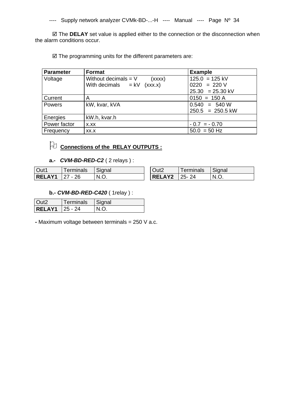The **DELAY** set value is applied either to the connection or the disconnection when the alarm conditions occur.

 $\boxtimes$  The programming units for the different parameters are:

| Parameter      | <b>Format</b>                    | <b>Example</b>     |
|----------------|----------------------------------|--------------------|
| <b>Voltage</b> | Without decimals $= V$<br>(xxxx) | $125.0 = 125$ kV   |
|                | With decimals $= kV (xxx.x)$     | $0220 = 220 V$     |
|                |                                  | $25.30 = 25.30$ kV |
| <b>Current</b> | Α                                | $0150 = 150 A$     |
| <b>Powers</b>  | kW, kvar, kVA                    | $0.540 = 540 W$    |
|                |                                  | $250.5 = 250.5$ kW |
| Energies       | kW.h, kvar.h                     |                    |
| Power factor   | X.XX                             | $-0.7 = -0.70$     |
| Frequency      | XX.X                             | $50.0 = 50$ Hz     |

### **Connections of the RELAY OUTPUTS :**

**a.-** *CVM-BD-RED-C2* ( 2 relays ) :

| Out1              | ⊺erminals | Signal | Out2                | erminals | Signal |
|-------------------|-----------|--------|---------------------|----------|--------|
| $ RELAY1 27 - 26$ |           | N.O.   | <b>RELAY2</b> 25-24 |          | N.O.   |

### **b.-** *CVM-BD-RED-C420* ( 1relay ) :

| Out <sub>2</sub> | Terminals  | Signal |
|------------------|------------|--------|
| <b>RELAY1</b>    | $125 - 24$ |        |

**-** Maximum voltage between terminals = 250 V a.c.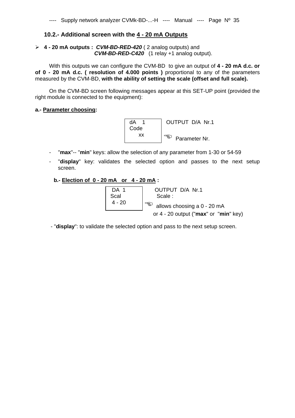### **10.2.- Additional screen with the 4 - 20 mA Outputs**

### **4 - 20 mA outputs :** *CVM-BD-RED-420* ( 2 analog outputs) and  *CVM-BD-RED-C420* (1 relay +1 analog output).

With this outputs we can configure the CVM-BD to give an output of **4 - 20 mA d.c. or of 0 - 20 mA d.c. ( resolution of 4.000 points )** proportional to any of the parameters measured by the CVM-BD, **with the ability of setting the scale (offset and full scale).** 

On the CVM-BD screen following messages appear at this SET-UP point (provided the right module is connected to the equipment):

### **a.- Parameter choosing:**



- "**max**"-- "**min**" keys: allow the selection of any parameter from 1-30 or 54-59
- "**display**" key: validates the selected option and passes to the next setup screen.

### **b.- Election of 0 - 20 mA or 4 - 20 mA :**

| DA 1<br>Scal<br>$4 - 20$ | OUTPUT D/A Nr.1<br>Scale:<br>ත<br>allows choosing a 0 - 20 mA |
|--------------------------|---------------------------------------------------------------|
|                          | or $4 - 20$ output (" $max$ " or " $min$ " key)               |

- "**display**": to validate the selected option and pass to the next setup screen.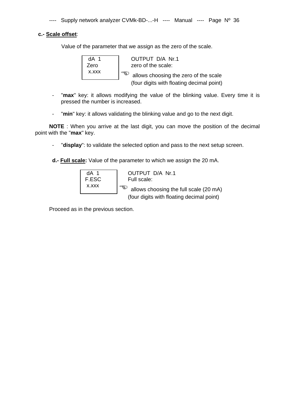### **c.- Scale offset**:

Value of the parameter that we assign as the zero of the scale.

dA 1 OUTPUT D/A Nr.1 Zero **zero** of the scale: x.xxx **a** allows choosing the zero of the scale (four digits with floating decimal point)

- "**max**" key: it allows modifying the value of the blinking value. Every time it is pressed the number is increased.
- "**min**" key: it allows validating the blinking value and go to the next digit.

**NOTE** : When you arrive at the last digit, you can move the position of the decimal point with the "**max**" key.

- "**display**": to validate the selected option and pass to the next setup screen.

**d.- Full scale:** Value of the parameter to which we assign the 20 mA.



Proceed as in the previous section.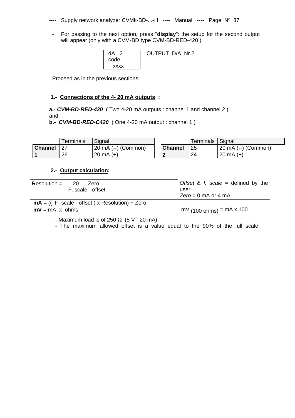---- Supply network analyzer CVMk-BD-...-H ---- Manual ---- Page Nº 37

- For passing to the next option, press "**display**": the setup for the second output will appear (only with a CVM-BD type CVM-BD-RED-420 ).

| $dA$ 2<br>code | OUTPUT D/A Nr.2 |
|----------------|-----------------|
| xxxx           |                 |

Proceed as in the previous sections.

----------------------------------------------------------

### **1.- Connections of the 4- 20 mA outputs :**

**a.-** *CVM-BD-RED-420* ( Two 4-20 mA outputs : channel 1 and channel 2 ) and

**b.-** *CVM-BD-RED-C420* ( One 4-20 mA output : channel 1 )

|                | <sup>r</sup> erminals | Signal              |                | <b>Terminals</b> | Signal                            |
|----------------|-----------------------|---------------------|----------------|------------------|-----------------------------------|
| <b>Channel</b> |                       | 20 mA (--) (Common) | <b>Channel</b> | 25               | ) (Common)<br>$20 \text{ mA} (-)$ |
|                | 26                    | 20 mA $(+)$         |                | 24               | 20 mA $(+)$                       |

### **2.- Output calculation:**

| Resolution = $20 - Z$ ero<br>F. scale - offset        | Offset & f. scale = defined by the<br>user      |
|-------------------------------------------------------|-------------------------------------------------|
|                                                       | $Zero = 0$ mA or 4 mA                           |
| $mA = ((F. scale - offset) \times Resolution) + Zero$ |                                                 |
| $mV = mA \times ohms$                                 | $\text{mV}$ (100 ohms) = $\text{mA} \times 100$ |

- Maximum load is of 250  $\Omega$  (5 V - 20 mA)

- The maximum allowed offset is a value equal to the 90% of the full scale.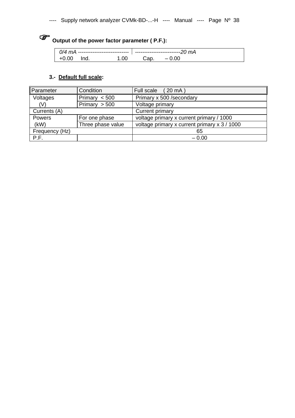# **Output of the power factor parameter ( P.F.):**

| 0/4 mA<br>------------------------------ |      | `mA |  |                                 |  |
|------------------------------------------|------|-----|--|---------------------------------|--|
|                                          | 'nd. |     |  | $\hspace{0.1mm}-\hspace{0.1mm}$ |  |

### **3.- Default full scale:**

| Parameter      | Condition         | $(20 \text{ mA})$<br>Full scale              |
|----------------|-------------------|----------------------------------------------|
| Voltages       | Primary $< 500$   | Primary x 500 /secondary                     |
| (V)            | Primary $> 500$   | Voltage primary                              |
| Currents (A)   |                   | <b>Current primary</b>                       |
| Powers         | For one phase     | voltage primary x current primary / 1000     |
| (kW)           | Three phase value | voltage primary x current primary x 3 / 1000 |
| Frequency (Hz) |                   | 65                                           |
| P.F.           |                   | $-0.00$                                      |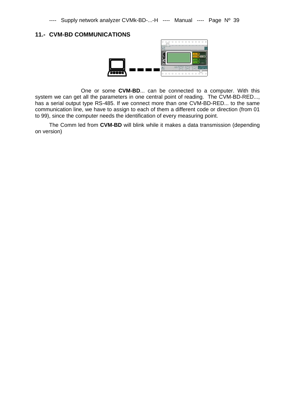### **11.- CVM-BD COMMUNICATIONS**



 One or some **CVM-BD**... can be connected to a computer. With this system we can get all the parameters in one central point of reading. The CVM-BD-RED..., has a serial output type RS-485. If we connect more than one CVM-BD-RED... to the same communication line, we have to assign to each of them a different code or direction (from 01 to 99), since the computer needs the identification of every measuring point.

The Comm led from **CVM-BD** will blink while it makes a data transmission (depending on version)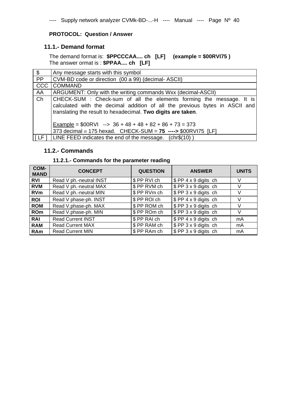### **PROTOCOL: Question / Answer**

### **11.1.- Demand format**

The demand format is: **\$PPCCCAA.... ch [LF] (example = \$00RVI75 )**  The answer ormat is : **\$PPAA.... ch [LF]** 

| $\sqrt{2}$ | Any message starts with this symbol                                                                                                                                                                                |
|------------|--------------------------------------------------------------------------------------------------------------------------------------------------------------------------------------------------------------------|
| <b>PP</b>  | CVM-BD code or direction (00 a 99) (decimal-ASCII)                                                                                                                                                                 |
| CCC        | <b>COMMAND</b>                                                                                                                                                                                                     |
| AA         | ARGUMENT: Only with the writing commands Wxx (decimal-ASCII)                                                                                                                                                       |
| Ch         | CHECK-SUM: Check-sum of all the elements forming the message. It is<br>calculated with the decimal addition of all the previous bytes in ASCII and<br>translating the result to hexadecimal. Two digits are taken. |
|            | Example = $$00RVl$ --> $36 + 48 + 48 + 82 + 86 + 73 = 373$<br>373 decimal = 175 hexad. CHECK-SUM = $75$ ----> \$00RVI75 [LF]                                                                                       |
| T LF 1     | LINE FEED indicates the end of the message. $(chr$(10))$                                                                                                                                                           |

### **11.2.- Commands**

### **11.2.1.- Commands for the parameter reading**

| COM-<br><b>MAND</b> | <b>CONCEPT</b>           | <b>QUESTION</b> | <b>ANSWER</b>                | <b>UNITS</b> |
|---------------------|--------------------------|-----------------|------------------------------|--------------|
| <b>RVI</b>          | Read V ph.-neutral INST  | \$PP RVI ch     | $$PP4 \times 9$ digits ch    |              |
| <b>RVM</b>          | Read V ph.-neutral MAX   | \$ PP RVM ch    | \$ PP 3 x 9 digits ch        |              |
| <b>RVm</b>          | Read V ph.-neutral MIN   | \$PPRVmch       | \$ PP 3 x 9 digits ch        |              |
| <b>ROI</b>          | Read V phase-ph. INST    | \$PP ROI ch     | $\sqrt{$PP 4 x 9}$ digits ch |              |
| <b>ROM</b>          | Read V.phase-ph. MAX     | \$PP ROM ch     | \$ PP 3 x 9 digits ch        |              |
| <b>ROm</b>          | Read V.phase-ph. MIN     | \$PP ROm ch     | \$ PP 3 x 9 digits ch        |              |
| <b>RAI</b>          | <b>Read Current INST</b> | \$PP RAI ch     | \$ PP 4 x 9 digits ch        | mA           |
| <b>RAM</b>          | <b>Read Current MAX</b>  | \$ PP RAM ch    | \$ PP 3 x 9 digits ch        | mA           |
| <b>RAm</b>          | <b>Read Current MIN</b>  | \$PP RAm ch     | \$ PP 3 x 9 digits ch        | mA           |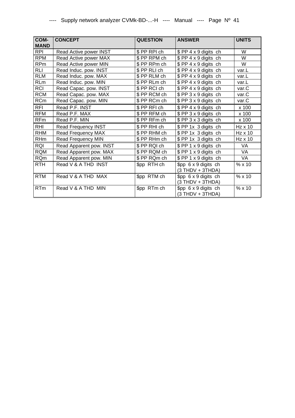| COM-<br><b>MAND</b> | <b>CONCEPT</b>            | <b>QUESTION</b> | <b>ANSWER</b>                                    | <b>UNITS</b> |
|---------------------|---------------------------|-----------------|--------------------------------------------------|--------------|
| <b>RPI</b>          | Read Active power INST    | \$PP RPI ch     | \$PP 4 x 9 digits ch                             | W            |
| <b>RPM</b>          | Read Active power MAX     | \$PP RPM ch     | \$ PP 4 x 9 digits ch                            | W            |
| <b>RPm</b>          | Read Active power MIN     | \$PP RPm ch     | \$ PP 4 x 9 digits ch                            | W            |
| <b>RLI</b>          | Read Induc. pow. INST     | \$PP RLI ch     | \$ PP 4 x 9 digits ch                            | var.L        |
| <b>RLM</b>          | Read Induc. pow. MAX      | \$PPRLM ch      | \$ PP 4 x 9 digits ch                            | var.L        |
| <b>RLm</b>          | Read Induc. pow. MIN      | \$ PP RLm ch    | \$ PP 4 x 9 digits ch                            | var.L        |
| <b>RCI</b>          | Read Capac. pow. INST     | \$PP RCI ch     | $$PP4 \times 9$ digits ch                        | var.C        |
| <b>RCM</b>          | Read Capac. pow. MAX      | \$PP RCM ch     | \$ PP 3 x 9 digits ch                            | var.C        |
| <b>RCm</b>          | Read Capac. pow. MIN      | \$PP RCm ch     | \$PP 3 x 9 digits ch                             | var.C        |
| <b>RFI</b>          | Read P.F. INST            | \$PP RFI ch     | \$ PP 4 x 9 digits ch                            | x 100        |
| <b>RFM</b>          | Read P.F. MAX             | \$PP RFM ch     | \$PP 3 x 9 digits ch                             | x 100        |
| <b>RFm</b>          | Read P.F. MIN             | \$PP RFm ch     | \$PP 3 x 3 digits ch                             | x 100        |
| RHI                 | Read Frequency INST       | \$PP RHI ch     | \$ PP 1x 3 digits ch                             | Hz x 10      |
| <b>RHM</b>          | <b>Read Frequency MAX</b> | \$PP RHM ch     | \$PP 1x 3 digits ch                              | Hz x 10      |
| <b>RHm</b>          | Read Frequency MIN        | \$PP RHm ch     | \$ PP 1x 3 digits ch                             | Hz x 10      |
| <b>RQI</b>          | Read Apparent pow. INST   | \$PP RQI ch     | \$PP 1 x 9 digits ch                             | <b>VA</b>    |
| <b>RQM</b>          | Read Apparent pow. MAX    | \$PP RQM ch     | \$PP 1 x 9 digits ch                             | VA           |
| <b>RQm</b>          | Read Apparent pow. MIN    | \$PP RQm ch     | \$PP 1 x 9 digits ch                             | VA           |
| <b>RTH</b>          | Read V & A THD INST       | \$pp RTH ch     | \$pp 6 x 9 digits ch<br>$(3 THDV + 3THDA)$       | % x10        |
| <b>RTM</b>          | Read V & A THD MAX        | \$pp RTM ch     | $$pp 6 \times 9$ digits ch<br>$(3 THDV + 3THDA)$ | % x 10       |
| <b>RTm</b>          | Read V & A THD MIN        | \$pp RTm ch     | $$pp 6 \times 9$ digits ch<br>$(3 THDV + 3THDA)$ | % x 10       |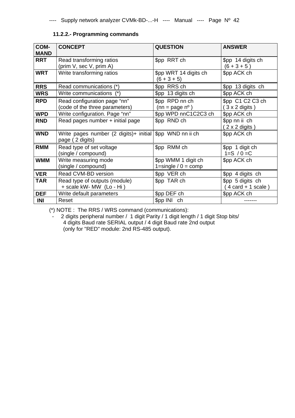### **11.2.2.- Programming commands**

| COM-<br><b>MAND</b> | <b>CONCEPT</b>                                                                | <b>QUESTION</b>                              | <b>ANSWER</b>                                     |
|---------------------|-------------------------------------------------------------------------------|----------------------------------------------|---------------------------------------------------|
| <b>RRT</b>          | Read transforming ratios<br>(prim V, sec V, prim A)                           | \$pp RRT ch                                  | \$pp 14 digits ch<br>$(6 + 3 + 5)$                |
| <b>WRT</b>          | Write transforming ratios                                                     | \$pp WRT 14 digits ch<br>$(6 + 3 + 5)$       | \$pp ACK ch                                       |
| <b>RRS</b>          | Read communications (*)                                                       | \$pp RRS ch                                  | \$pp 13 digits ch                                 |
| <b>WRS</b>          | Write communications (*)                                                      | \$pp 13 digits ch                            | \$pp ACK ch                                       |
| <b>RPD</b>          | Read configuration page "nn"<br>(code of the three parameters)                | \$pp RPD nn ch<br>$(nn = page n^{\circ})$    | \$pp C1 C2 C3 ch<br>$(3 \times 2 \text{ digits})$ |
| <b>WPD</b>          | Write configuration. Page "nn"                                                | \$pp WPD nnC1C2C3 ch                         | \$pp ACK ch                                       |
| <b>RND</b>          | Read pages number + initial page                                              | \$pp RND ch                                  | \$pp nn ii ch<br>$(2 \times 2 \text{ digits})$    |
| <b>WND</b>          | Write pages number (2 digits)+ initial   \$pp WND nn ii ch<br>page (2 digits) |                                              | \$pp ACK ch                                       |
| <b>RMM</b>          | Read type of set voltage<br>(single / compound)                               | \$pp RMM ch                                  | \$pp 1 digit ch<br>$1 = S / 0 = C$                |
| <b>WMM</b>          | Write measuring mode<br>(single / compound)                                   | \$pp WMM 1 digit ch<br>1=single / $0 =$ comp | \$pp ACK ch                                       |
| <b>VER</b>          | Read CVM-BD version                                                           | \$pp VER ch                                  | \$pp 4 digits ch                                  |
| <b>TAR</b>          | Read type of outputs (module)<br>+ scale kW- MW (Lo - Hi)                     | \$pp TAR ch                                  | \$pp 5 digits ch<br>$4$ card $+ 1$ scale)         |
| <b>DEF</b>          | Write default parameters                                                      | \$pp DEF ch                                  | \$pp ACK ch                                       |
| INI                 | Reset                                                                         | \$pp INI ch                                  |                                                   |

(\*) NOTE : The RRS / WRS command (communications):

- 2 digits peripheral number / 1 digit Parity / 1 digit length / 1 digit Stop bits/ 4 digits Baud rate SERIAL output / 4 digit Baud rate 2nd output (only for "RED" module: 2nd RS-485 output).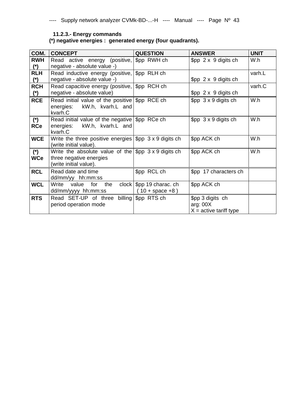### **11.2.3.- Energy commands**

**(\*) negative energies : generated energy (four quadrants).** 

| COM.                           | <b>CONCEPT</b>                                                                                                        | <b>QUESTION</b>                                             | <b>ANSWER</b>                                              | <b>UNIT</b> |
|--------------------------------|-----------------------------------------------------------------------------------------------------------------------|-------------------------------------------------------------|------------------------------------------------------------|-------------|
| <b>RWH</b><br>$^{\mathcal{L}}$ | Read active energy (positive, \$pp RWH ch<br>negative - absolute value -)                                             |                                                             | $$pp 2 \times 9$ digits ch                                 | W.h         |
| <b>RLH</b><br>$^{\mathcal{L}}$ | Read inductive energy (positive,   \$pp RLH ch<br>negative - absolute value -)                                        |                                                             | $$pp 2 \times 9$ digits ch                                 | varh.L      |
| <b>RCH</b><br>$^{\ast}$        | Read capacitive energy (positive, \$pp RCH ch<br>negative - absolute value)                                           |                                                             | $$pp 2 \times 9$ digits ch                                 | varh.C      |
| <b>RCE</b>                     | Read initial value of the positive \$pp RCE ch<br>kW.h, kvarh.L and<br>energies:<br>kvarh.C                           |                                                             | $$pp \ 3 \times 9 \text{ digits ch}$                       | W.h         |
| $(*)$<br><b>RCe</b>            | Read initial value of the negative \$pp RCe ch<br>kW.h, kvarh.L and<br>energies:<br>kvarh.C                           |                                                             | $$pp \; 3 \times 9 \;$ digits ch                           | W.h         |
| <b>WCE</b>                     | Write the three positive energies $\frac{1}{2}$ pp 3 x 9 digits ch<br>(write initial value).                          |                                                             | \$pp ACK ch                                                | W.h         |
| $(*)$<br><b>WCe</b>            | Write the absolute value of the $\frac{1}{2}$ pp 3 x 9 digits ch<br>three negative energies<br>(write initial value). |                                                             | \$pp ACK ch                                                | W.h         |
| <b>RCL</b>                     | Read date and time<br>dd/mm/yy hh:mm:ss                                                                               | \$pp RCL ch                                                 | \$pp 17 characters ch                                      |             |
| <b>WCL</b>                     | Write<br>value<br>for<br>the<br>dd/mm/yyyy hh:mm:ss                                                                   | clock $\frac{1}{2}$ spp 19 charac. ch<br>$(10 + space + 8)$ | \$pp ACK ch                                                |             |
| <b>RTS</b>                     | Read SET-UP of three<br>period operation mode                                                                         | billing $\$\text{pp}$ RTS ch                                | \$pp 3 digits ch<br>arg: $00X$<br>$X =$ active tariff type |             |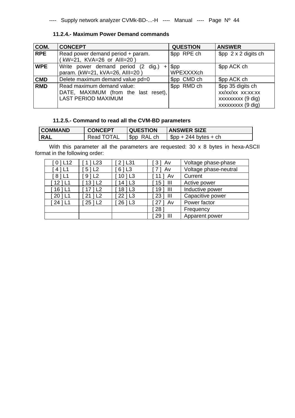### **11.2.4.- Maximum Power Demand commands**

| COM.       | <b>CONCEPT</b>                                                                                   | <b>QUESTION</b>   | <b>ANSWER</b>                                                                  |
|------------|--------------------------------------------------------------------------------------------------|-------------------|--------------------------------------------------------------------------------|
| <b>RPE</b> | Read power demand period + param.<br>(kW=21, KVA=26 or Alll=20)                                  | \$pp RPE ch       | $$pp \, 2 \times 2$ digits ch                                                  |
| <b>WPE</b> | Write power demand period (2 dig.)<br>$+$<br>param. (kW=21, kVA=26, AIII=20)                     | \$pp<br>WPEXXXXch | \$pp ACK ch                                                                    |
| <b>CMD</b> | Delete maximum demand value pd=0                                                                 | \$pp CMD ch       | \$pp ACK ch                                                                    |
| <b>RMD</b> | Read maximum demand value:<br>DATE, MAXIMUM (from the last reset),<br><b>LAST PERIOD MAXIMUM</b> | \$pp RMD ch       | \$pp 35 digits ch<br>XX/XX/XX XX:XX:XX<br>xxxxxxxx (9 dig)<br>xxxxxxxx (9 dig) |

### **11.2.5.- Command to read all the CVM-BD parameters**

| <b>COMMAND</b> | <b>CONCEPT</b> | <b>QUESTION</b>   | <b>ANSWER SIZE</b>     |
|----------------|----------------|-------------------|------------------------|
| <b>RAL</b>     | Read TOTAL     | $\beta$ pp RAL ch | $$pp + 244 bytes + ch$ |

With this parameter all the parameters are requested: 30 x 8 bytes in hexa-ASCII format in the following order:

| 01L12     | $1$   L <sub>23</sub> | $2$   L31             | $3$   Av     | Voltage phase-phase   |
|-----------|-----------------------|-----------------------|--------------|-----------------------|
| 4   L1    | $5$   L <sub>2</sub>  | 6   L3                | Av           | Voltage phase-neutral |
| 81L1      | 91L2                  | $10$   L3             | Av           | Current               |
| $12$   L1 | $13$   L2             | $14$   L <sub>3</sub> | $15$ ] $III$ | Active power          |
| $16$   L1 | $17$   L <sub>2</sub> | 18   L3               | 19 ] III     | Inductive power       |
| $20$   L1 | 1 <sub>L2</sub><br>21 | 22   L3               | 23<br>- III  | Capacitive power      |
| $24$   L1 | $25$   L2             | 26   L3               | Av           | Power factor          |
|           |                       |                       | 28           | Frequency             |
|           |                       |                       | Ш<br>29      | Apparent power        |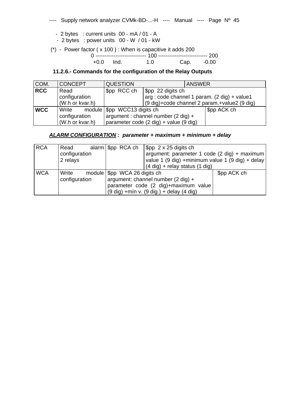- 2 bytes : current units 00 mA / 01 A
- 2 bytes : power units 00 W / 01 kW

(\*) - Power factor ( x 100 ) : When is capacitive it adds 200

0 ---------------------------- 100 --------------------------- 200

+0.0 Ind. 1.0

### **11.2.6.- Commands for the configuration of the Relay Outputs**

| COM.       | <b>CONCEPT</b>  | <b>QUESTION</b>                               | <b>ANSWER</b>                                |             |
|------------|-----------------|-----------------------------------------------|----------------------------------------------|-------------|
| <b>RCC</b> | Read            | \$pp RCC ch                                   | $\sqrt{\$                                    |             |
|            | configuration   |                                               | arg : code channel 1 param. (2 dig) + value1 |             |
|            | (W.h or kvar.h) |                                               | (9 dig)+code channel 2 param.+value2 (9 dig) |             |
| <b>WCC</b> | Write           | module $\frac{1}{2}$ pp WCC13 digits ch       |                                              | \$pp ACK ch |
|            | configuration   | argument : channel number $(2 \text{ dig}) +$ |                                              |             |
|            | (W.h or kvar.h) |                                               | parameter code (2 dig) + value (9 dig)       |             |

### *ALARM CONFIGURATION : parameter + maximum + minimum + delay*

| <b>RCA</b> | Read          | alarm $\frac{6}{5}$ pp RCA ch                | $\frac{1}{2}$ \$pp 2 x 25 digits ch               |             |
|------------|---------------|----------------------------------------------|---------------------------------------------------|-------------|
|            | configuration |                                              | argument: parameter 1 code (2 dig) + maximum      |             |
|            | 2 relays      |                                              | value 1 (9 dig) + minimum value 1 (9 dig) + delay |             |
|            |               |                                              | $(4$ dig) + relay status $(1$ dig)                |             |
| <b>WCA</b> | Write         | module   \$pp WCA 26 digits ch               |                                                   | \$pp ACK ch |
|            | configuration | argument: channel number $(2 \text{ dig}) +$ |                                                   |             |
|            |               |                                              | parameter code (2 dig)+maximum value              |             |
|            |               |                                              | $(9$ dig) +min v. $(9$ dig.) + delay $(4$ dig)    |             |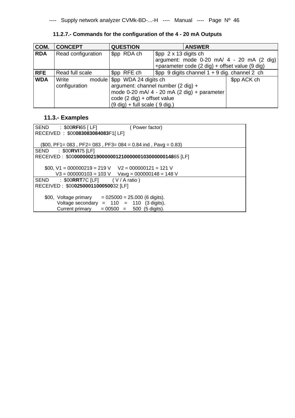| COM.       | <b>CONCEPT</b>     | <b>QUESTION</b>                                 | <b>ANSWER</b>                                       |             |
|------------|--------------------|-------------------------------------------------|-----------------------------------------------------|-------------|
| <b>RDA</b> | Read configuration | \$pp RDA ch                                     | $$pp \, 2 \times 13 \,$ digits ch                   |             |
|            |                    |                                                 | argument: mode $0-20$ mA/ $4 - 20$ mA (2 dig)       |             |
|            |                    |                                                 | +parameter code (2 dig) + offset value (9 dig)      |             |
| <b>RFE</b> | Read full scale    | \$pp RFE ch                                     | $$pp \, 9$ digits channel $1 + 9$ dig. channel 2 ch |             |
| <b>WDA</b> | Write              | module   \$pp WDA 24 digits ch                  |                                                     | \$pp ACK ch |
|            | configuration      | argument: channel number $(2 \text{ dig}) +$    |                                                     |             |
|            |                    | mode $0-20$ mA/ $4 - 20$ mA (2 dig) + parameter |                                                     |             |
|            |                    | code (2 dig) + offset value                     |                                                     |             |
|            |                    | $(9$ dig) + full scale $(9$ dig.)               |                                                     |             |

**11.2.7.- Commands for the configuration of the 4 - 20 mA Outputs** 

### **11.3.- Examples**

| SEND : \$00RFI65 [ LF]<br>(Power factor)                          |
|-------------------------------------------------------------------|
| RECEIVED: \$00083083084083F1[LF]                                  |
|                                                                   |
| $(\$00, PF1 = 083, PF2 = 083, PF3 = 084 = 0.84$ ind, Pavg = 0.83) |
| $: $00$ RVI75 [LF]<br><b>SEND</b>                                 |
| RECEIVED: \$0000000021900000012100000010300000014865 [LF]         |
|                                                                   |
| $$00, V1 = 000000219 = 219 V$ $V2 = 000000121 = 121 V$            |
| $V3 = 000000103 = 103$ V Vavg = 000000148 = 148 V                 |
| SEND : $$00$ RRT7C [LF] (V/A ratio)                               |
| RECEIVED: \$000250001100050032 [LF]                               |
|                                                                   |
| \$00, Voltage primary<br>$= 025000 = 25.000$ (6 digits).          |
| Voltage secondary = $110 = 110$ (3 digits).                       |
| Current primary<br>$= 00500 = 500$ (5 digits).                    |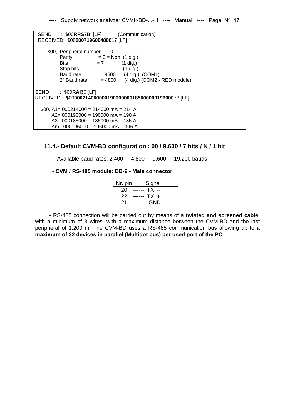| SEND<br>$:$ \$00RRS7B [LF] (Communication)                |  |
|-----------------------------------------------------------|--|
| RECEIVED: \$00000719600480017 [LF]                        |  |
| \$00, Peripheral number $= 00$                            |  |
| Parity<br>$= 0 = \text{Non} \ (1 \text{ dig.})$           |  |
| <b>Bits</b><br>$= 7$<br>$(1$ dig.)                        |  |
| Stop bits $= 1$<br>$(1$ dig.)                             |  |
| Baud rate $= 9600$ (4 dig.) (COM1)                        |  |
| $2a$ Baud rate $= 4800$ (4 dig.) (COM2 - RED module)      |  |
| $SEND$ : \$00RAI60 [LF]                                   |  |
| RECEIVED: \$0000021400000019000000018500000019600073 [LF] |  |
|                                                           |  |
| $$00, A1 = 000214000 = 214000 \text{ mA} = 214 \text{ A}$ |  |
| $A2 = 000190000 = 190000$ mA = 190 A                      |  |
| $A3 = 000185000 = 185000$ mA = 185 A                      |  |
| Am = 000196000 = 196000 mA = 196 A                        |  |

### **11.4.- Default CVM-BD configuration : 00 / 9.600 / 7 bits / N / 1 bit**

- Available baud rates: 2.400 - 4.800 - 9.600 - 19.200 bauds

### **- CVM / RS-485 module: DB-9 - Male connector**

| Signal<br>Nr. pin          |
|----------------------------|
| $20$ ------ TX --          |
| $22$ ------ TX +           |
| GND<br>21<br>$- - - - - -$ |

- RS-485 connection will be carried out by means of a **twisted and screened cable,**  with a minimum of 3 wires, with a maximum distance between the CVM-BD and the last peripheral of 1.200 m. The CVM-BD uses a RS-485 communication bus allowing up to **a maximum of 32 devices in parallel (Multidot bus) per used port of the PC**.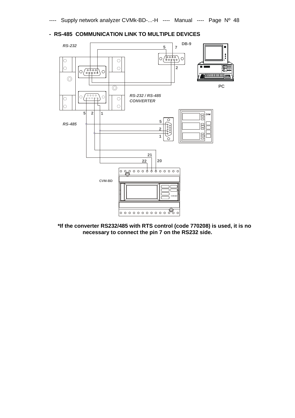

### **- RS-485 COMMUNICATION LINK TO MULTIPLE DEVICES**

**\*If the converter RS232/485 with RTS control (code 770208) is used, it is no necessary to connect the pin 7 on the RS232 side.** 

 $\circ$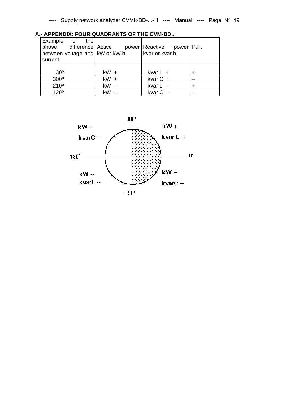| current         |                     |                |                                     |                                        |                                                                      |                                                   |
|-----------------|---------------------|----------------|-------------------------------------|----------------------------------------|----------------------------------------------------------------------|---------------------------------------------------|
|                 |                     |                |                                     |                                        |                                                                      |                                                   |
| 30 <sup>o</sup> |                     |                |                                     |                                        |                                                                      |                                                   |
|                 |                     |                |                                     |                                        |                                                                      |                                                   |
|                 |                     |                |                                     |                                        |                                                                      |                                                   |
| 120°            |                     |                |                                     |                                        |                                                                      |                                                   |
|                 | $300^\circ$<br>210° | Example of the | $kW +$<br>$kW +$<br>kW --<br>$kW -$ | between voltage and $\vert$ kW or kW.h | kvar or kvar.h<br>kvar $L +$<br>kvar $C +$<br>kvar L --<br>kvar C -- | phase difference Active power Reactive power P.F. |

**A.- APPENDIX: FOUR QUADRANTS OF THE CVM-BD...** 

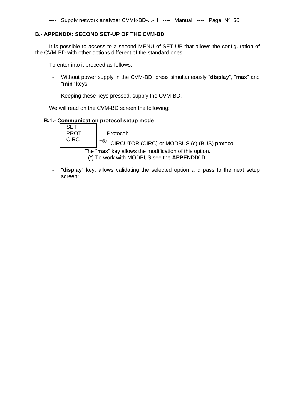### **B.- APPENDIX: SECOND SET-UP OF THE CVM-BD**

It is possible to access to a second MENU of SET-UP that allows the configuration of the CVM-BD with other options different of the standard ones.

To enter into it proceed as follows:

- Without power supply in the CVM-BD, press simultaneously "**display**", "**max**" and "**min**" keys.
- Keeping these keys pressed, supply the CVM-BD.

We will read on the CVM-BD screen the following:

### **B.1.- Communication protocol setup mode**

SET<br>PROT Protocol: CIRC  $\Big| \overset{\text{def}}{=} \text{CIRCUTOR (CIRC) or MODBUS (c) (BUS) protocol}$ 

The "**max**" key allows the modification of this option.

- (\*) To work with MODBUS see the **APPENDIX D.**
- "**display**" key: allows validating the selected option and pass to the next setup screen: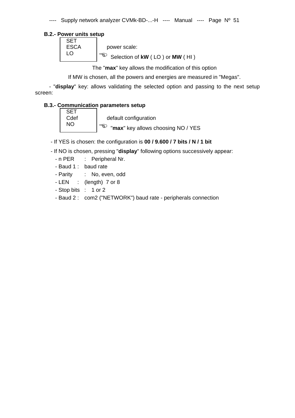### **B.2.- Power units setup**

| <b>ESCA</b> | power scale:                    |
|-------------|---------------------------------|
|             | Selection of kW (LO) or MW (HI) |

The "**max**" key allows the modification of this option

If MW is chosen, all the powers and energies are measured in "Megas".

- "**display**" key: allows validating the selected option and passing to the next setup screen:

### **B.3.- Communication parameters setup**

| <b>SET</b> |
|------------|
| Cdef       |
| NΟ         |

default configuration  $\sqrt{\mathbb{Q}}$  "max" key allows choosing NO / YES

- If YES is chosen: the configuration is **00 / 9.600 / 7 bits / N / 1 bit** 

- If NO is chosen, pressing "**display**" following options successively appear:

- n PER : Peripheral Nr.
- Baud 1 : baud rate
- Parity : No, even, odd
- LEN : (length) 7 or 8
- Stop bits : 1 or 2
- Baud 2 : com2 ("NETWORK") baud rate peripherals connection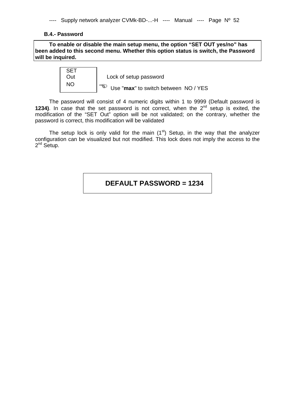### **B.4.- Password**

**To enable or disable the main setup menu, the option "SET OUT yes/no" has been added to this second menu. Whether this option status is switch, the Password will be inquired.** 

|  | Lock of setup password               |
|--|--------------------------------------|
|  | Use "max" to switch between NO / YES |

The password will consist of 4 numeric digits within 1 to 9999 (Default password is **1234)**. In case that the set password is not correct, when the  $2^{nd}$  setup is exited, the modification of the "SET Out" option will be not validated; on the contrary, whether the password is correct, this modification will be validated

The setup lock is only valid for the main  $(1<sup>st</sup>)$  Setup, in the way that the analyzer configuration can be visualized but not modified. This lock does not imply the access to the 2<sup>nd</sup> Setup.

**DEFAULT PASSWORD = 1234**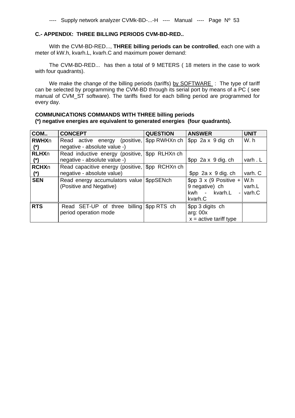### **C.- APPENDIX: THREE BILLING PERIODS CVM-BD-RED..**

With the CVM-BD-RED..., **THREE billing periods can be controlled**, each one with a meter of kW.h, kvarh.L, kvarh.C and maximum power demand:

The CVM-BD-RED... has then a total of 9 METERS ( 18 meters in the case to work with four quadrants).

We make the change of the billing periods (tariffs) by SOFTWARE : The type of tariff can be selected by programming the CVM-BD through its serial port by means of a PC ( see manual of CVM\_ST software). The tariffs fixed for each billing period are programmed for every day.

### **COMMUNICATIONS COMMANDS WITH THREE billing periods (\*) negative energies are equivalent to generated energies (four quadrants).**

| COM          | <b>CONCEPT</b>                                  | <b>QUESTION</b>                  | <b>ANSWER</b>                     | <b>UNIT</b> |
|--------------|-------------------------------------------------|----------------------------------|-----------------------------------|-------------|
| <b>RWHXn</b> | (positive,<br>Read active energy                | \$pp RWHXn ch                    | $$pp$ 2a x 9 dig ch               | W.h         |
| $(*)$        | negative - absolute value -)                    |                                  |                                   |             |
| <b>RLHXn</b> | Read inductive energy (positive,                | \$pp RLHXn ch                    |                                   |             |
| $(*)$        | negative - absolute value -)                    |                                  | $$pp$ 2a x 9 dig. ch              | varh.L      |
| <b>RCHXn</b> | Read capacitive energy (positive, \$pp RCHXn ch |                                  |                                   |             |
| $(*)$        | negative - absolute value)                      |                                  | $$pp$ 2a x 9 dig. ch              | varh. C     |
| <b>SEN</b>   | Read energy accumulators value \$ppSENch        |                                  | \$pp $3 \times (9$ Positive + W.h |             |
|              | (Positive and Negative)                         |                                  | 9 negative) ch                    | varh.L      |
|              |                                                 |                                  | kwh - kvarh.L                     | $-$ varh.C  |
|              |                                                 |                                  | kvarh.C                           |             |
| <b>RTS</b>   | Read SET-UP of three                            | billing $\frac{1}{2}$ Spp RTS ch | \$pp 3 digits ch                  |             |
|              | period operation mode                           |                                  | arg: 00x                          |             |
|              |                                                 |                                  | $x =$ active tariff type          |             |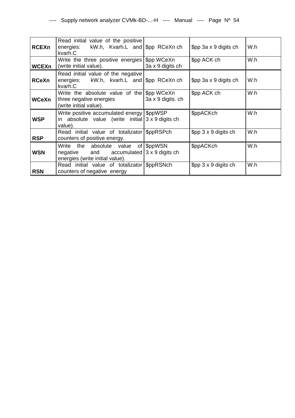| <b>RCEXn</b> | Read initial value of the positive<br>energies: kW.h, Kvarh.L and \$pp RCeXn ch<br>kvarh.C                               |                   | \$pp 3a x 9 digits ch      | W.h |
|--------------|--------------------------------------------------------------------------------------------------------------------------|-------------------|----------------------------|-----|
| <b>WCEXn</b> | Write the three positive energies \$pp WCeXn<br>(write initial value).                                                   | 3a x 9 digits ch  | \$pp ACK ch                | W.h |
| <b>RCeXn</b> | Read initial value of the negative<br>energies: kW.h, kvarh.L and \\$pp RCeXn ch<br>kvarh.C                              |                   | \$pp 3a x 9 digits ch      | W.h |
| WCeXn        | Write the absolute value of the $\frac{1}{2}$ pp WCeXn<br>three negative energies<br>(write initial value).              | 3a x 9 digits. ch | \$pp ACK ch                | W.h |
| <b>WSP</b>   | Write positive accumulated energy SppWSP<br>in absolute value (write initial $3 \times 9$ digits ch<br>value).           |                   | \$ppACKch                  | W.h |
| <b>RSP</b>   | Read initial value of totalizator \$ppRSPch<br>counters of positive energy.                                              |                   | $$pp 3 \times 9$ digits ch | W.h |
| <b>WSN</b>   | Write the absolute value of \$ppWSN<br>$negative$ and $accountated   3 x 9 digits ch$<br>energies (write initial value). |                   | \$ppACKch                  | W.h |
| <b>RSN</b>   | Read initial value of totalizator \$ppRSNch<br>counters of negative energy                                               |                   | $$pp 3 \times 9$ digits ch | W.h |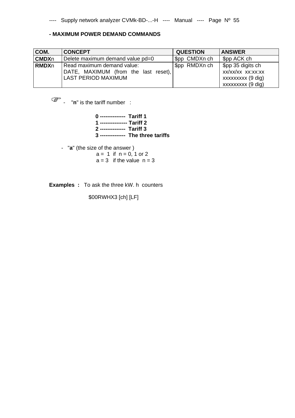### **- MAXIMUM POWER DEMAND COMMANDS**

| COM.         | <b>CONCEPT</b>                                                                                   | <b>QUESTION</b> | <b>ANSWER</b>                                                                   |
|--------------|--------------------------------------------------------------------------------------------------|-----------------|---------------------------------------------------------------------------------|
| <b>CMDXn</b> | Delete maximum demand value pd=0                                                                 | \$pp CMDXn ch   | \$pp ACK ch                                                                     |
| <b>RMDXn</b> | Read maximum demand value:<br>DATE, MAXIMUM (from the last reset),<br><b>LAST PERIOD MAXIMUM</b> | \$pp RMDXn ch   | \$pp 35 digits ch<br>xx/xx/xx xx:xx:xx<br>xxxxxxxxx (9 dig)<br>xxxxxxxx (9 dig) |

- "**n**" is the tariff number :

 **0 -------------- Tariff 1 1 --------------- Tariff 2 2 -------------- Tariff 3 3 -------------- The three tariffs** 

- "**a**" (the size of the answer )

 $a = 1$  if  $n = 0, 1$  or 2  $a = 3$  if the value  $n = 3$ 

**Examples :** To ask the three kW. h counters

\$00RWHX3 [ch] [LF]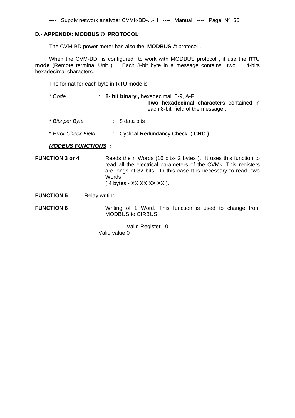### **D.- APPENDIX: MODBUS © PROTOCOL**

The CVM-BD power meter has also the **MODBUS ©** protocol **.**

When the CVM-BD is configured to work with MODBUS protocol , it use the **RTU mode** (Remote terminal Unit ) . Each 8-bit byte in a message contains two 4-bits hexadecimal characters.

The format for each byte in RTU mode is :

- \* *Code* : **8- bit binary ,** hexadecimal 0-9, A-F **Two hexadecimal characters** contained in each 8-bit field of the message .
- \* *Bits per Byte* : 8 data bits
- \* *Error Check Field* : Cyclical Redundancy Check ( **CRC ) .**

*MODBUS FUNCTIONS :* 

**FUNCTION 3 or 4** Reads the n Words (16 bits- 2 bytes ). It uses this function to read all the electrical parameters of the CVMk. This registers are longs of 32 bits ; In this case It is necessary to read two Words. ( 4 bytes - XX XX XX XX ).

**FUNCTION 5** Relay writing.

**FUNCTION 6** Writing of 1 Word. This function is used to change from MODBUS to CIRBUS.

> Valid Register 0 Valid value 0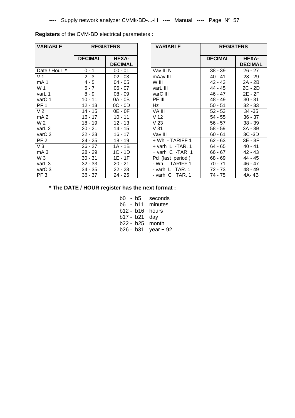| <b>VARIABLE</b>    | <b>REGISTERS</b> |                                | <b>VARIABLE</b>        | <b>REGISTERS</b> |                  |
|--------------------|------------------|--------------------------------|------------------------|------------------|------------------|
|                    | <b>DECIMAL</b>   | <b>HEXA-</b><br><b>DECIMAL</b> |                        | <b>DECIMAL</b>   | HE<br><b>DEC</b> |
| Date / Hour *      | $0 - 1$          | $00 - 01$                      | Vav III N              | $38 - 39$        | 26               |
| V <sub>1</sub>     | $2 - 3$          | $02 - 03$                      | mAav III               | $40 - 41$        | 28               |
| mA <sub>1</sub>    | $4 - 5$          | $04 - 05$                      | W III                  | $42 - 43$        | 2A               |
| W 1                | $6 - 7$          | $06 - 07$                      | varL III               | 44 - 45          | 2C               |
| varL 1             | $8 - 9$          | $08 - 09$                      | varC III               | 46 - 47          | 2E               |
| varC 1             | $10 - 11$        | 0A - 0B                        | PF III                 | 48 - 49          | 30               |
| PF <sub>1</sub>    | $12 - 13$        | $OC - OD$                      | Hz                     | $50 - 51$        | 32               |
| V <sub>2</sub>     | $14 - 15$        | $OE - OF$                      | VA III                 | $52 - 53$        | 34               |
| mA <sub>2</sub>    | $16 - 17$        | $10 - 11$                      | V <sub>12</sub>        | $54 - 55$        | 36               |
| W 2                | $18 - 19$        | 12 - 13                        | V <sub>23</sub>        | $56 - 57$        | 38               |
| varL 2             | $20 - 21$        | $14 - 15$                      | V <sub>31</sub>        | $58 - 59$        | 3A               |
| var <sub>C</sub> 2 | $22 - 23$        | $16 - 17$                      | Vav III                | $60 - 61$        | 3C               |
| PF <sub>2</sub>    | $24 - 25$        | $18 - 19$                      | + Wh - TARIFF 1        | $62 - 63$        | 3E               |
| $V_3$              | $26 - 27$        | $1A - 1B$                      | $+$ varh L -TAR. 1     | 64 - 65          | 40               |
| mA <sub>3</sub>    | $28 - 29$        | $1C - 1D$                      | + varh C -TAR. 1       | 66 - 67          | 42               |
| W <sub>3</sub>     | $30 - 31$        | $1E - 1F$                      | Pd (last period)       | $68 - 69$        | 44               |
| varL 3             | $32 - 33$        | $20 - 21$                      | - Wh<br><b>TARIFF1</b> | $70 - 71$        | 46               |
| var <sub>C</sub> 3 | 34 - 35          | $22 - 23$                      | - varh L TAR. 1        | $72 - 73$        | 48               |
| PF <sub>3</sub>    | $36 - 37$        | 24 - 25                        | - varh C TAR. 1        | 74 - 75          | 4A               |

**Registers** of the CVM-BD electrical parameters :

| VARIABLE         |                | <b>REGISTERS</b>               | <b>VARIABLE</b>    |                | <b>REGISTERS</b>               |  |
|------------------|----------------|--------------------------------|--------------------|----------------|--------------------------------|--|
|                  | <b>DECIMAL</b> | <b>HEXA-</b><br><b>DECIMAL</b> |                    | <b>DECIMAL</b> | <b>HEXA-</b><br><b>DECIMAL</b> |  |
| Date / Hour *    | $0 - 1$        | $00 - 01$                      | Vav III N          | $38 - 39$      | $26 - 27$                      |  |
| $\overline{V}$ 1 | $2 - 3$        | $02 - 03$                      | mAav III           | $40 - 41$      | $28 - 29$                      |  |
| mA 1             | $4 - 5$        | $04 - 05$                      | W III              | $42 - 43$      | 2A - 2B                        |  |
| W 1              | $6 - 7$        | $06 - 07$                      | varL III           | 44 - 45        | $2C - 2D$                      |  |
| varL 1           | $8 - 9$        | $08 - 09$                      | varC III           | 46 - 47        | 2E - 2F                        |  |
| varC 1           | $10 - 11$      | 0A - 0B                        | PF III             | 48 - 49        | $30 - 31$                      |  |
| PF 1             | $12 - 13$      | $OC - OD$                      | Hz                 | $50 - 51$      | $32 - 33$                      |  |
| $\overline{V}2$  | $14 - 15$      | $OE - OF$                      | VA III             | $52 - 53$      | $34 - 35$                      |  |
| mA <sub>2</sub>  | $16 - 17$      | $10 - 11$                      | V <sub>12</sub>    | $54 - 55$      | $36 - 37$                      |  |
| W 2              | $18 - 19$      | $12 - 13$                      | V <sub>23</sub>    | $56 - 57$      | $38 - 39$                      |  |
| varL 2           | $20 - 21$      | 14 - 15                        | V <sub>31</sub>    | $58 - 59$      | 3A - 3B                        |  |
| varC 2           | $22 - 23$      | $16 - 17$                      | Vav III            | $60 - 61$      | 3C-3D                          |  |
| PF <sub>2</sub>  | $24 - 25$      | $18 - 19$                      | + Wh - TARIFF 1    | $62 - 63$      | 3E - 3F                        |  |
| V3               | $26 - 27$      | $1A - 1B$                      | $+$ varh L -TAR. 1 | 64 - 65        | $40 - 41$                      |  |
| mA 3             | $28 - 29$      | $1C - 1D$                      | + varh C -TAR. 1   | $66 - 67$      | $42 - 43$                      |  |
| W 3              | $30 - 31$      | $1E - 1F$                      | Pd (last period)   | $68 - 69$      | 44 - 45                        |  |
| varL 3           | $32 - 33$      | $20 - 21$                      | - Wh TARIFF 1      | 70 - 71        | 46 - 47                        |  |
| varC 3           | $34 - 35$      | $22 - 23$                      | - varh L TAR. 1    | 72 - 73        | 48 - 49                        |  |
| PF 3             | $36 - 37$      | $24 - 25$                      | - varh C TAR. 1    | $74 - 75$      | 4A-4B                          |  |

**\* The DATE / HOUR register has the next format :** 

| b0 - b5 |             | seconds    |
|---------|-------------|------------|
|         | $b6 - b11$  | minutes    |
|         | $b12 - b16$ | hours      |
|         | b17 - b21   | day        |
|         | b22 - b25   | month      |
|         | b26 - b31   | year $+92$ |
|         |             |            |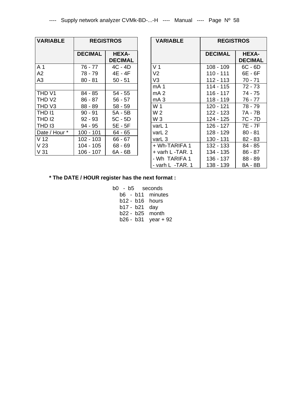| <b>VARIABLE</b>    | <b>REGISTROS</b> |                                | <b>VARIABLE</b>                                | <b>REGISTROS</b>               |                   |
|--------------------|------------------|--------------------------------|------------------------------------------------|--------------------------------|-------------------|
|                    | <b>DECIMAL</b>   | <b>HEXA-</b><br><b>DECIMAL</b> |                                                | <b>DECIMAL</b>                 | HE.<br><b>DEC</b> |
| A 1                | 76 - 77          | $4C - 4D$                      | V <sub>1</sub>                                 | $108 - 109$                    | 6C                |
| A2                 | 78 - 79          | 4E - 4F                        | V <sub>2</sub>                                 | $110 - 111$                    | 6E                |
| A <sub>3</sub>     | $80 - 81$        | $50 - 51$                      | V <sub>3</sub>                                 | 112 - 113                      | 70 <sub>1</sub>   |
|                    |                  |                                | mA <sub>1</sub>                                | 114 - 115                      | 72                |
| THD V1             | 84 - 85          | $54 - 55$                      | mA <sub>2</sub>                                | 116 - 117                      | 74                |
| THD V <sub>2</sub> | $86 - 87$        | $56 - 57$                      | mA <sub>3</sub>                                | 118 - 119                      | 76                |
| THD V3             | $88 - 89$        | $58 - 59$                      | W 1                                            | 120 - 121                      | 78                |
| THD I1             | $90 - 91$        | 5A - 5B                        | W <sub>2</sub>                                 | 122 - 123                      | 7A                |
| THD <sub>12</sub>  | $92 - 93$        | $5C - 5D$                      | W <sub>3</sub>                                 | 124 - 125                      | 7C                |
| THD <sub>13</sub>  | $94 - 95$        | 5E - 5F                        | varL 1                                         | 126 - 127                      | 7E                |
| Date / Hour *      | $100 - 101$      | 64 - 65                        | varL 2                                         | 128 - 129                      | 80                |
| V <sub>12</sub>    | $102 - 103$      | $66 - 67$                      | varL 3                                         | 130 - 131                      | 82                |
| V <sub>23</sub>    | 104 - 105        | $68 - 69$                      | + Wh-TARIFA 1                                  | 132 - 133                      | 84 <sub>1</sub>   |
| V <sub>31</sub>    | 106 - 107        | 6A - 6B                        | + varh L -TAR. 1                               | 134 - 135                      | 86                |
|                    |                  |                                | $1$ A $II$ .<br>$T \wedge T \wedge T \wedge A$ | $\overline{100}$<br>$\sqrt{2}$ | co.               |

| VARIABLE        | <b>REGISTROS</b> |                                | <b>VARIABLE</b>       | <b>REGISTROS</b> |                                |
|-----------------|------------------|--------------------------------|-----------------------|------------------|--------------------------------|
|                 | <b>DECIMAL</b>   | <b>HEXA-</b><br><b>DECIMAL</b> |                       | <b>DECIMAL</b>   | <b>HEXA-</b><br><b>DECIMAL</b> |
| A 1             | 76 - 77          | $4C - 4D$                      | V <sub>1</sub>        | $108 - 109$      | $6C - 6D$                      |
| A2              | 78 - 79          | 4E - 4F                        | V <sub>2</sub>        | $110 - 111$      | 6E - 6F                        |
| A3              | $80 - 81$        | $50 - 51$                      | V <sub>3</sub>        | $112 - 113$      | $70 - 71$                      |
|                 |                  |                                | mA <sub>1</sub>       | $114 - 115$      | $72 - 73$                      |
| THD V1          | 84 - 85          | $54 - 55$                      | mA <sub>2</sub>       | $116 - 117$      | $74 - 75$                      |
| THD V2          | $86 - 87$        | $56 - 57$                      | mA <sub>3</sub>       | $118 - 119$      | $76 - 77$                      |
| THD V3          | $88 - 89$        | $58 - 59$                      | W 1                   | $120 - 121$      | 78 - 79                        |
| <b>THD 11</b>   | $90 - 91$        | 5A - 5B                        | W <sub>2</sub>        | 122 - 123        | 7A - 7B                        |
| THD 12          | $92 - 93$        | $5C - 5D$                      | W <sub>3</sub>        | 124 - 125        | 7C - 7D                        |
| THD 13          | $94 - 95$        | 5E - 5F                        | varL 1                | $126 - 127$      | 7E - 7F                        |
| Date / Hour *   | $100 - 101$      | $64 - 65$                      | varL 2                | 128 - 129        | $80 - 81$                      |
| V <sub>12</sub> | $102 - 103$      | $66 - 67$                      | varL <sub>3</sub>     | 130 - 131        | $82 - 83$                      |
| V <sub>23</sub> | 104 - 105        | $68 - 69$                      | + Wh-TARIFA 1         | 132 - 133        | 84 - 85                        |
| V <sub>31</sub> | 106 - 107        | 6A - 6B                        | + varh L -TAR. 1      | 134 - 135        | $86 - 87$                      |
|                 |                  |                                | - Wh TARIFA 1         | 136 - 137        | $88 - 89$                      |
|                 |                  |                                | $-$ varh L $-TAR$ . 1 | 138 - 139        | 8A - 8B                        |

### **\* The DATE / HOUR register has the next format :**

 b0 - b5 seconds b6 - b11 minutes b12 - b16 hours b17 - b21 day b22 - b25 month b26 - b31 year + 92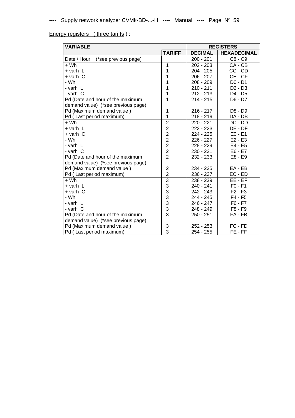Energy registers (three tariffs):

| <b>VARIABLE</b>                     |                         | <b>REGISTERS</b> |                    |  |
|-------------------------------------|-------------------------|------------------|--------------------|--|
|                                     | <b>TARIFF</b>           | <b>DECIMAL</b>   | <b>HEXADECIMAL</b> |  |
| Date / Hour<br>(*see previous page) |                         | $200 - 201$      | C8 - C9            |  |
| $+Wh$                               | 1                       | $202 - 203$      | $CA - CB$          |  |
| $+$ varh $\mathsf L$                | 1                       | $204 - 205$      | CC - CD            |  |
| $+$ varh $C$                        | 1                       | $206 - 207$      | CE-CF              |  |
| - Wh                                | 1                       | $208 - 209$      | D0 - D1            |  |
| - varh L                            | 1                       | $210 - 211$      | $D2 - D3$          |  |
| - varh C                            | 1                       | $212 - 213$      | D4 - D5            |  |
| Pd (Date and hour of the maximum    | 1                       | $214 - 215$      | D6 - D7            |  |
| demand value) (*see previous page)  |                         |                  |                    |  |
| Pd (Maximum demand value)           | 1                       | $216 - 217$      | D8 - D9            |  |
| Pd (Last period maximum)            | 1                       | $218 - 219$      | DA - DB            |  |
| + Wh                                | $\overline{2}$          | $220 - 221$      | $DC - DD$          |  |
| $+$ varh $\mathsf L$                | $\overline{\mathbf{c}}$ | 222 - 223        | DE - DF            |  |
| $+$ varh $C$                        | $\overline{c}$          | $224 - 225$      | $E0 - E1$          |  |
| - Wh                                | $\overline{2}$          | 226 - 227        | $E2 - E3$          |  |
| - varh L                            | $\overline{2}$          | 228 - 229        | E4 - E5            |  |
| - varh C                            | $\overline{c}$          | $230 - 231$      | $E6 - E7$          |  |
| Pd (Date and hour of the maximum    | $\overline{2}$          | 232 - 233        | E8 - E9            |  |
| demand value) (*see previous page)  |                         |                  |                    |  |
| Pd (Maximum demand value)           | $\overline{2}$          | 234 - 235        | EA - EB            |  |
| Pd (Last period maximum)            | $\overline{2}$          | 236 - 237        | EC - ED            |  |
| $+ Wh$                              | $\overline{3}$          | 238 - 239        | $EE - EF$          |  |
| + varh L                            | 3                       | 240 - 241        | $F0 - F1$          |  |
| + varh C                            | 3                       | 242 - 243        | $F2 - F3$          |  |
| - Wh                                | 3                       | 244 - 245        | F4 - F5            |  |
| - varh L                            | $\overline{3}$          | 246 - 247        | F6 - F7            |  |
| - varh C                            | 3                       | 248 - 249        | F8 - F9            |  |
| Pd (Date and hour of the maximum    | 3                       | $250 - 251$      | FA - FB            |  |
| demand value) (*see previous page)  |                         |                  |                    |  |
| Pd (Maximum demand value)           | 3                       | $252 - 253$      | FC - FD            |  |
| Pd (Last period maximum)            | 3                       | 254 - 255        | FE-FF              |  |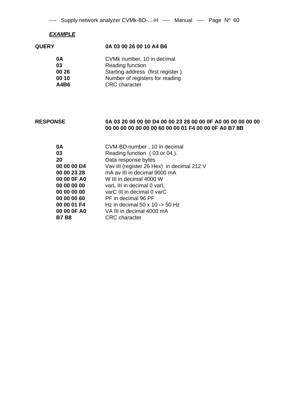### *EXAMPLE*

### **QUERY 0A 03 00 26 00 10 A4 B6**

| 0Α    | CVMk number, 10 in decimal        |
|-------|-----------------------------------|
| 03    | <b>Reading function</b>           |
| 00 26 | Starting address (first register) |
| 00 10 | Number of registers for reading   |
| A4B6  | <b>CRC</b> character              |
|       |                                   |

### **RESPONSE 0A 03 20 00 00 00 D4 00 00 23 28 00 00 0F A0 00 00 00 00 00 00 00 00 00 00 00 00 60 00 00 01 F4 00 00 0F A0 B7 8B**

| 0A          | CVM-BD number, 10 in decimal                   |
|-------------|------------------------------------------------|
| 03          | Reading function (03 or 04).                   |
| 20          | Data response bytes                            |
| 00 00 00 D4 | Vav III (register 26 Hex) in decimal 212 V     |
| 00 00 23 28 | mA av III in decimal 9000 mA                   |
| 00 00 OF A0 | W III in decimal 4000 W                        |
| 00 00 00 00 | varL III in decimal 0 varL                     |
| 00 00 00 00 | varC III in decimal 0 varC                     |
| 00 00 00 60 | PF in decimal 96 PF                            |
| 00 00 01 F4 | Hz in decimal $50 \times 10 \rightarrow 50$ Hz |
| 00 00 OF A0 | VA III in decimal 4000 mA                      |
| B7 B8       | <b>CRC</b> character                           |
|             |                                                |